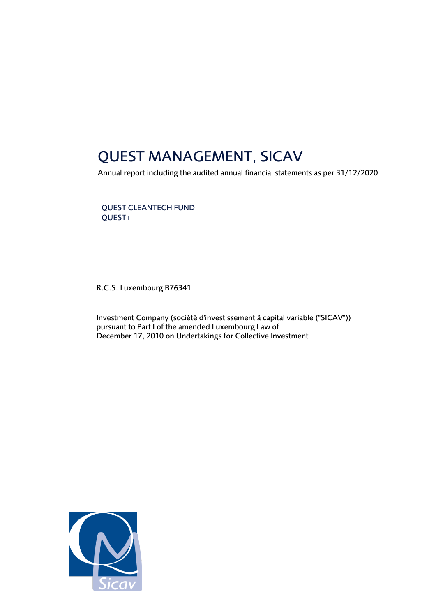## QUEST MANAGEMENT, SICAV

Annual report including the audited annual financial statements as per 31/12/2020

QUEST CLEANTECH FUND QUEST+

R.C.S. Luxembourg B76341

Investment Company (société d'investissement à capital variable ("SICAV")) pursuant to Part I of the amended Luxembourg Law of December 17, 2010 on Undertakings for Collective Investment

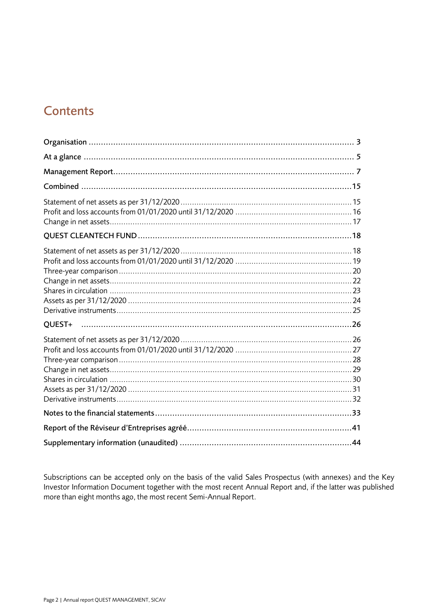## **Contents**

| QUEST+ |  |
|--------|--|
|        |  |
|        |  |
|        |  |
|        |  |

Subscriptions can be accepted only on the basis of the valid Sales Prospectus (with annexes) and the Key Investor Information Document together with the most recent Annual Report and, if the latter was published more than eight months ago, the most recent Semi-Annual Report.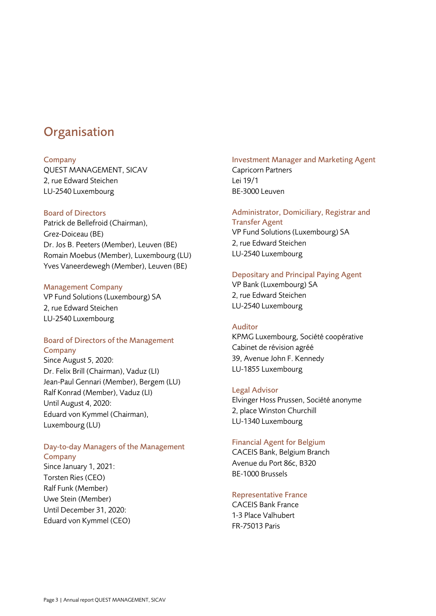### <span id="page-2-0"></span>**Organisation**

### Company

QUEST MANAGEMENT, SICAV 2, rue Edward Steichen LU-2540 Luxembourg

### Board of Directors

Patrick de Bellefroid (Chairman), Grez-Doiceau (BE) Dr. Jos B. Peeters (Member), Leuven (BE) Romain Moebus (Member), Luxembourg (LU) Yves Vaneerdewegh (Member), Leuven (BE)

### Management Company

VP Fund Solutions (Luxembourg) SA 2, rue Edward Steichen LU-2540 Luxembourg

### Board of Directors of the Management **Company**

Since August 5, 2020: Dr. Felix Brill (Chairman), Vaduz (LI) Jean-Paul Gennari (Member), Bergem (LU) Ralf Konrad (Member), Vaduz (LI) Until August 4, 2020: Eduard von Kymmel (Chairman), Luxembourg (LU)

### Day-to-day Managers of the Management Company

Since January 1, 2021: Torsten Ries (CEO) Ralf Funk (Member) Uwe Stein (Member) Until December 31, 2020: Eduard von Kymmel (CEO)

### Investment Manager and Marketing Agent Capricorn Partners Lei 19/1

BE-3000 Leuven

### Administrator, Domiciliary, Registrar and Transfer Agent

VP Fund Solutions (Luxembourg) SA 2, rue Edward Steichen LU-2540 Luxembourg

### Depositary and Principal Paying Agent

VP Bank (Luxembourg) SA 2, rue Edward Steichen LU-2540 Luxembourg

### Auditor

KPMG Luxembourg, Société coopérative Cabinet de révision agréé 39, Avenue John F. Kennedy LU-1855 Luxembourg

### Legal Advisor

Elvinger Hoss Prussen, Société anonyme 2, place Winston Churchill LU-1340 Luxembourg

### Financial Agent for Belgium

CACEIS Bank, Belgium Branch Avenue du Port 86c, B320 BE-1000 Brussels

### Representative France

CACEIS Bank France 1-3 Place Valhubert FR-75013 Paris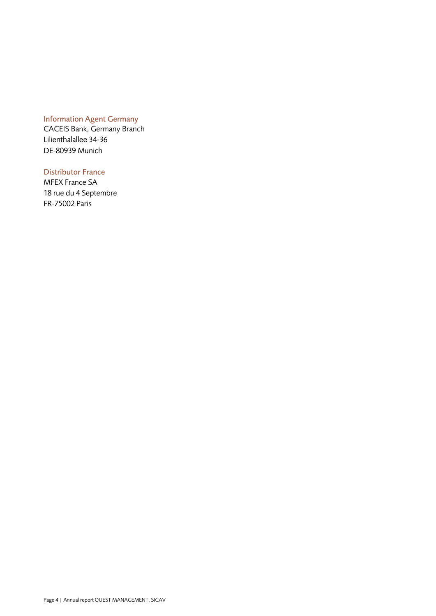### Information Agent Germany

CACEIS Bank, Germany Branch Lilienthalallee 34-36 DE-80939 Munich

### Distributor France

MFEX France SA 18 rue du 4 Septembre FR-75002 Paris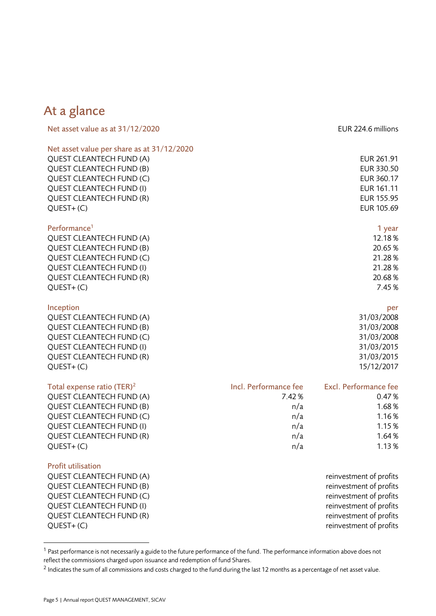### <span id="page-4-0"></span>At a glance

| Net asset value as at 31/12/2020           |                       | EUR 224.6 millions           |
|--------------------------------------------|-----------------------|------------------------------|
| Net asset value per share as at 31/12/2020 |                       |                              |
| <b>QUEST CLEANTECH FUND (A)</b>            |                       | EUR 261.91                   |
| <b>QUEST CLEANTECH FUND (B)</b>            |                       | EUR 330.50                   |
| QUEST CLEANTECH FUND (C)                   |                       | EUR 360.17                   |
| <b>QUEST CLEANTECH FUND (I)</b>            |                       | EUR 161.11                   |
| <b>QUEST CLEANTECH FUND (R)</b>            |                       | EUR 155.95                   |
| $QUEST+(C)$                                |                       | EUR 105.69                   |
| Performance <sup>1</sup>                   |                       | 1 year                       |
| QUEST CLEANTECH FUND (A)                   |                       | 12.18%                       |
| QUEST CLEANTECH FUND (B)                   |                       | 20.65%                       |
| QUEST CLEANTECH FUND (C)                   |                       | 21.28%                       |
| <b>QUEST CLEANTECH FUND (I)</b>            |                       | 21.28%                       |
| <b>QUEST CLEANTECH FUND (R)</b>            |                       | 20.68%                       |
| $QUEST+(C)$                                |                       | 7.45 %                       |
| Inception                                  |                       | per                          |
| QUEST CLEANTECH FUND (A)                   |                       | 31/03/2008                   |
| <b>QUEST CLEANTECH FUND (B)</b>            |                       | 31/03/2008                   |
| QUEST CLEANTECH FUND (C)                   |                       | 31/03/2008                   |
| <b>QUEST CLEANTECH FUND (I)</b>            |                       | 31/03/2015                   |
| QUEST CLEANTECH FUND (R)                   |                       | 31/03/2015                   |
| $QUEST+(C)$                                |                       | 15/12/2017                   |
| Total expense ratio (TER) <sup>2</sup>     | Incl. Performance fee | <b>Excl. Performance fee</b> |
| QUEST CLEANTECH FUND (A)                   | 7.42%                 | 0.47%                        |
| <b>OUEST CLEANTECH FUND (B)</b>            | n/a                   | 1.68%                        |

QUEST CLEANTECH FUND (C) and the contract of the contract of the contract of the contract of the contract of the contract of the contract of the contract of the contract of the contract of the contract of the contract of t QUEST CLEANTECH FUND (I)  $n/a$  1.15 % QUEST CLEANTECH FUND (R)  $n/a$  and  $n/a$  1.64 %  $QUEST+(C)$  and  $1.13\%$ 

### Profit utilisation

QUEST CLEANTECH FUND (A) The contract of profits and the profits of profits of profits of profits of profits of profits of profits of profits of profits of profits of profits of profits of profits of profits of profits of QUEST CLEANTECH FUND (B) THE RESERVE TO A REFORM THE PROFITS THE PROFITS OF PROFITS THE PROFITS OF PROFITS THE PROFITS OF PROFITS OF PROFITS OF PROFITS OF PROFITS OF PROFITS OF PROFITS OF PROFITS OF PROFITS OF PROFITS OF P QUEST CLEANTECH FUND (C) and the control of profits reinvestment of profits QUEST CLEANTECH FUND (I) CUEST CLEANTECH FUND (I) QUEST CLEANTECH FUND (R) THE RESERVE TO A REFORM THE PROFITS REINVEST METAL OF PROFITS QUEST+ (C) reinvestment of profits

 $1$  Past performance is not necessarily a guide to the future performance of the fund. The performance information above does not reflect the commissions charged upon issuance and redemption of fund Shares.

 $^2$  Indicates the sum of all commissions and costs charged to the fund during the last 12 months as a percentage of net asset value.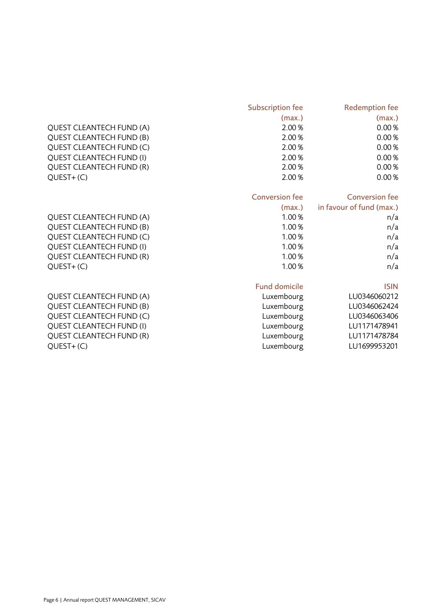|                                 | <b>Subscription fee</b> | <b>Redemption fee</b>    |
|---------------------------------|-------------------------|--------------------------|
|                                 | (max.)                  | (max.)                   |
| <b>QUEST CLEANTECH FUND (A)</b> | 2.00%                   | 0.00%                    |
| <b>QUEST CLEANTECH FUND (B)</b> | 2.00%                   | 0.00%                    |
| QUEST CLEANTECH FUND (C)        | 2.00%                   | 0.00%                    |
| <b>QUEST CLEANTECH FUND (I)</b> | 2.00%                   | 0.00%                    |
| <b>QUEST CLEANTECH FUND (R)</b> | 2.00%                   | 0.00%                    |
| $QUEST+(C)$                     | 2.00%                   | 0.00%                    |
|                                 | <b>Conversion fee</b>   | <b>Conversion fee</b>    |
|                                 | (max.)                  | in favour of fund (max.) |
| <b>QUEST CLEANTECH FUND (A)</b> | 1.00%                   | n/a                      |
| <b>QUEST CLEANTECH FUND (B)</b> | 1.00%                   | n/a                      |
| QUEST CLEANTECH FUND (C)        | 1.00%                   | n/a                      |
| <b>QUEST CLEANTECH FUND (I)</b> | 1.00%                   | n/a                      |
| <b>QUEST CLEANTECH FUND (R)</b> | 1.00%                   | n/a                      |
| $QUEST+(C)$                     | 1.00%                   | n/a                      |
|                                 | <b>Fund domicile</b>    | <b>ISIN</b>              |
| <b>QUEST CLEANTECH FUND (A)</b> | Luxembourg              | LU0346060212             |
| <b>QUEST CLEANTECH FUND (B)</b> | Luxembourg              | LU0346062424             |
| QUEST CLEANTECH FUND (C)        | Luxembourg              | LU0346063406             |
| <b>QUEST CLEANTECH FUND (I)</b> | Luxembourg              | LU1171478941             |
| <b>QUEST CLEANTECH FUND (R)</b> | Luxembourg              | LU1171478784             |
| $QUEST+(C)$                     | Luxembourg              | LU1699953201             |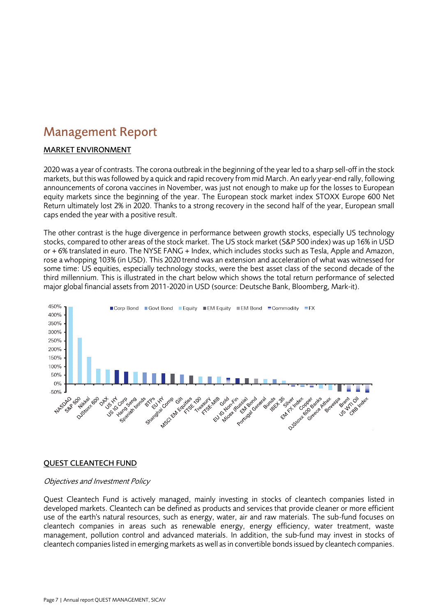### <span id="page-6-0"></span>Management Report

### MARKET ENVIRONMENT

2020 was a year of contrasts. The corona outbreak in the beginning of the year led to a sharp sell-off in the stock markets, but this was followed by a quick and rapid recovery from mid March. An early year-end rally, following announcements of corona vaccines in November, was just not enough to make up for the losses to European equity markets since the beginning of the year. The European stock market index STOXX Europe 600 Net Return ultimately lost 2% in 2020. Thanks to a strong recovery in the second half of the year, European small caps ended the year with a positive result.

The other contrast is the huge divergence in performance between growth stocks, especially US technology stocks, compared to other areas of the stock market. The US stock market (S&P 500 index) was up 16% in USD or + 6% translated in euro. The NYSE FANG + Index, which includes stocks such as Tesla, Apple and Amazon, rose a whopping 103% (in USD). This 2020 trend was an extension and acceleration of what was witnessed for some time: US equities, especially technology stocks, were the best asset class of the second decade of the third millennium. This is illustrated in the chart below which shows the total return performance of selected major global financial assets from 2011-2020 in USD (source: Deutsche Bank, Bloomberg, Mark-it).



### QUEST CLEANTECH FUND

### Objectives and Investment Policy

Quest Cleantech Fund is actively managed, mainly investing in stocks of cleantech companies listed in developed markets. Cleantech can be defined as products and services that provide cleaner or more efficient use of the earth's natural resources, such as energy, water, air and raw materials. The sub-fund focuses on cleantech companies in areas such as renewable energy, energy efficiency, water treatment, waste management, pollution control and advanced materials. In addition, the sub-fund may invest in stocks of cleantech companies listed in emerging markets as well as in convertible bonds issued by cleantech companies.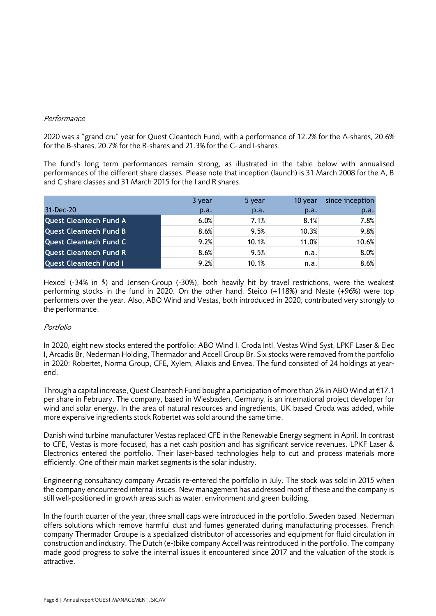### Performance

2020 was a "grand cru" year for Quest Cleantech Fund, with a performance of 12.2% for the A-shares, 20.6% for the B-shares, 20.7% for the R-shares and 21.3% for the C- and I-shares.

The fund's long term performances remain strong, as illustrated in the table below with annualised performances of the different share classes. Please note that inception (launch) is 31 March 2008 for the A, B and C share classes and 31 March 2015 for the I and R shares.

|                               | 3 year | 5 year | 10 year | since inception |
|-------------------------------|--------|--------|---------|-----------------|
| 31-Dec-20                     | p.a.   | p.a.   | p.a.    | p.a.            |
| <b>Quest Cleantech Fund A</b> | 6.0%   | 7.1%   | 8.1%    | 7.8%            |
| <b>Quest Cleantech Fund B</b> | 8.6%   | 9.5%   | 10.3%   | 9.8%            |
| <b>Quest Cleantech Fund C</b> | 9.2%   | 10.1%  | 11.0%   | 10.6%           |
| <b>Quest Cleantech Fund R</b> | 8.6%   | 9.5%   | n.a.    | 8.0%            |
| <b>Quest Cleantech Fund I</b> | 9.2%   | 10.1%  | n.a.    | 8.6%            |

Hexcel (-34% in \$) and Jensen-Group (-30%), both heavily hit by travel restrictions, were the weakest performing stocks in the fund in 2020. On the other hand, Steico (+118%) and Neste (+96%) were top performers over the year. Also, ABO Wind and Vestas, both introduced in 2020, contributed very strongly to the performance.

### Portfolio

In 2020, eight new stocks entered the portfolio: ABO Wind I, Croda Intl, Vestas Wind Syst, LPKF Laser & Elec I, Arcadis Br, Nederman Holding, Thermador and Accell Group Br. Six stocks were removed from the portfolio in 2020: Robertet, Norma Group, CFE, Xylem, Aliaxis and Envea. The fund consisted of 24 holdings at yearend.

Through a capital increase, Quest Cleantech Fund bought a participation of more than 2% in ABO Wind at €17.1 per share in February. The company, based in Wiesbaden, Germany, is an international project developer for wind and solar energy. In the area of natural resources and ingredients, UK based Croda was added, while more expensive ingredients stock Robertet was sold around the same time.

Danish wind turbine manufacturer Vestas replaced CFE in the Renewable Energy segment in April. In contrast to CFE, Vestas is more focused, has a net cash position and has significant service revenues. LPKF Laser & Electronics entered the portfolio. Their laser-based technologies help to cut and process materials more efficiently. One of their main market segments is the solar industry.

Engineering consultancy company Arcadis re-entered the portfolio in July. The stock was sold in 2015 when the company encountered internal issues. New management has addressed most of these and the company is still well-positioned in growth areas such as water, environment and green building.

In the fourth quarter of the year, three small caps were introduced in the portfolio. Sweden based Nederman offers solutions which remove harmful dust and fumes generated during manufacturing processes. French company Thermador Groupe is a specialized distributor of accessories and equipment for fluid circulation in construction and industry. The Dutch (e-)bike company Accell was reintroduced in the portfolio. The company made good progress to solve the internal issues it encountered since 2017 and the valuation of the stock is attractive.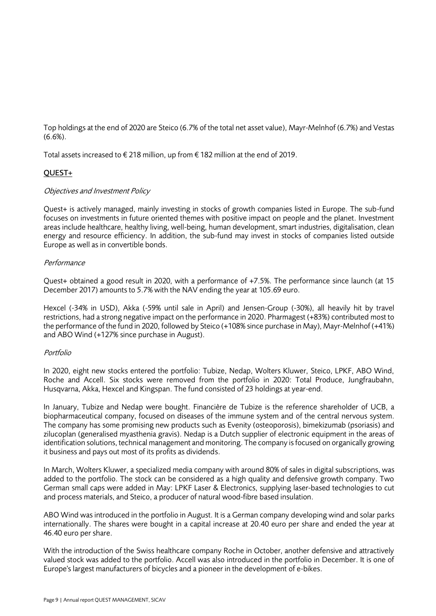Top holdings at the end of 2020 are Steico (6.7% of the total net asset value), Mayr-Melnhof (6.7%) and Vestas (6.6%).

Total assets increased to €218 million, up from €182 million at the end of 2019.

### QUEST+

### Objectives and Investment Policy

Quest+ is actively managed, mainly investing in stocks of growth companies listed in Europe. The sub-fund focuses on investments in future oriented themes with positive impact on people and the planet. Investment areas include healthcare, healthy living, well-being, human development, smart industries, digitalisation, clean energy and resource efficiency. In addition, the sub-fund may invest in stocks of companies listed outside Europe as well as in convertible bonds.

### **Performance**

Quest+ obtained a good result in 2020, with a performance of +7.5%. The performance since launch (at 15 December 2017) amounts to 5.7% with the NAV ending the year at 105.69 euro.

Hexcel (-34% in USD), Akka (-59% until sale in April) and Jensen-Group (-30%), all heavily hit by travel restrictions, had a strong negative impact on the performance in 2020. Pharmagest (+83%) contributed most to the performance of the fund in 2020, followed by Steico (+108% since purchase in May), Mayr-Melnhof (+41%) and ABO Wind (+127% since purchase in August).

### Portfolio

In 2020, eight new stocks entered the portfolio: Tubize, Nedap, Wolters Kluwer, Steico, LPKF, ABO Wind, Roche and Accell. Six stocks were removed from the portfolio in 2020: Total Produce, Jungfraubahn, Husqvarna, Akka, Hexcel and Kingspan. The fund consisted of 23 holdings at year-end.

In January, Tubize and Nedap were bought. Financière de Tubize is the reference shareholder of UCB, a biopharmaceutical company, focused on diseases of the immune system and of the central nervous system. The company has some promising new products such as Evenity (osteoporosis), bimekizumab (psoriasis) and zilucoplan (generalised myasthenia gravis). Nedap is a Dutch supplier of electronic equipment in the areas of identification solutions, technical management and monitoring. The company is focused on organically growing it business and pays out most of its profits as dividends.

In March, Wolters Kluwer, a specialized media company with around 80% of sales in digital subscriptions, was added to the portfolio. The stock can be considered as a high quality and defensive growth company. Two German small caps were added in May: LPKF Laser & Electronics, supplying laser-based technologies to cut and process materials, and Steico, a producer of natural wood-fibre based insulation.

ABO Wind was introduced in the portfolio in August. It is a German company developing wind and solar parks internationally. The shares were bought in a capital increase at 20.40 euro per share and ended the year at 46.40 euro per share.

With the introduction of the Swiss healthcare company Roche in October, another defensive and attractively valued stock was added to the portfolio. Accell was also introduced in the portfolio in December. It is one of Europe's largest manufacturers of bicycles and a pioneer in the development of e-bikes.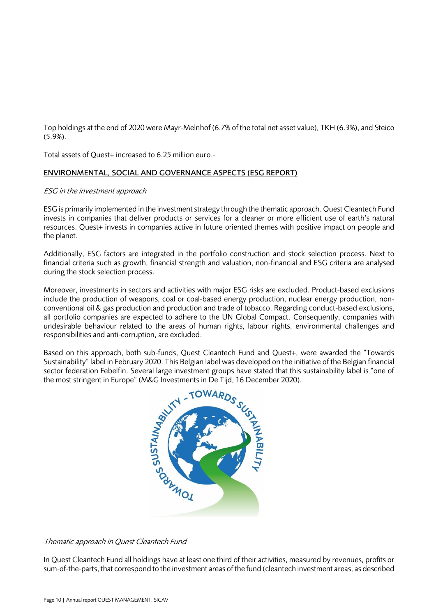Top holdings at the end of 2020 were Mayr-Melnhof (6.7% of the total net asset value), TKH (6.3%), and Steico (5.9%).

Total assets of Quest+ increased to 6.25 million euro.-

### ENVIRONMENTAL, SOCIAL AND GOVERNANCE ASPECTS (ESG REPORT)

### ESG in the investment approach

ESG is primarily implemented in the investment strategy through the thematic approach. Quest Cleantech Fund invests in companies that deliver products or services for a cleaner or more efficient use of earth's natural resources. Quest+ invests in companies active in future oriented themes with positive impact on people and the planet.

Additionally, ESG factors are integrated in the portfolio construction and stock selection process. Next to financial criteria such as growth, financial strength and valuation, non-financial and ESG criteria are analysed during the stock selection process.

Moreover, investments in sectors and activities with major ESG risks are excluded. Product-based exclusions include the production of weapons, coal or coal-based energy production, nuclear energy production, nonconventional oil & gas production and production and trade of tobacco. Regarding conduct-based exclusions, all portfolio companies are expected to adhere to the UN Global Compact. Consequently, companies with undesirable behaviour related to the areas of human rights, labour rights, environmental challenges and responsibilities and anti-corruption, are excluded.

Based on this approach, both sub-funds, Quest Cleantech Fund and Quest+, were awarded the "Towards Sustainability" label in February 2020. This Belgian label was developed on the initiative of the Belgian financial sector federation Febelfin. Several large investment groups have stated that this sustainability label is "one of the most stringent in Europe" (M&G Investments in De Tijd, 16 December 2020).



### Thematic approach in Quest Cleantech Fund

In Quest Cleantech Fund all holdings have at least one third of their activities, measured by revenues, profits or sum-of-the-parts, that correspond to the investment areas of the fund (cleantech investment areas, as described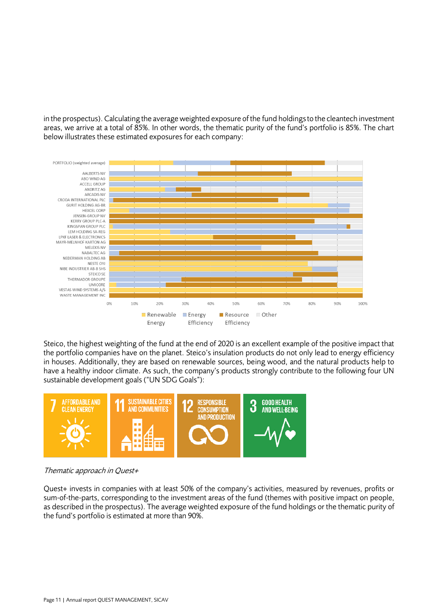in the prospectus). Calculating the average weighted exposure of the fund holdings to the cleantech investment areas, we arrive at a total of 85%. In other words, the thematic purity of the fund's portfolio is 85%. The chart below illustrates these estimated exposures for each company:



Steico, the highest weighting of the fund at the end of 2020 is an excellent example of the positive impact that the portfolio companies have on the planet. Steico's insulation products do not only lead to energy efficiency in houses. Additionally, they are based on renewable sources, being wood, and the natural products help to have a healthy indoor climate. As such, the company's products strongly contribute to the following four UN sustainable development goals ("UN SDG Goals"):



Thematic approach in Quest+

Quest+ invests in companies with at least 50% of the company's activities, measured by revenues, profits or sum-of-the-parts, corresponding to the investment areas of the fund (themes with positive impact on people, as described in the prospectus). The average weighted exposure of the fund holdings or the thematic purity of the fund's portfolio is estimated at more than 90%.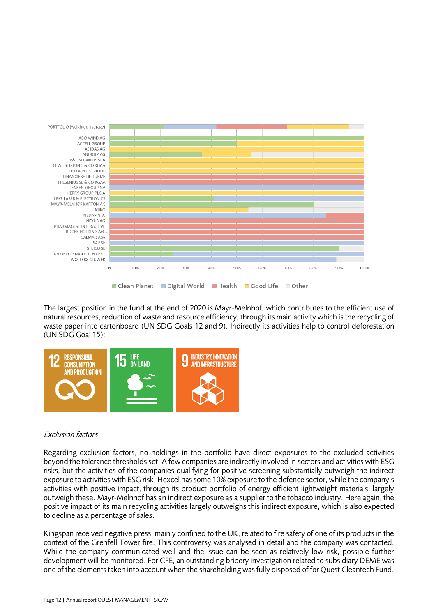

The largest position in the fund at the end of 2020 is Mayr-Melnhof, which contributes to the efficient use of natural resources, reduction of waste and resource efficiency, through its main activity which is the recycling of waste paper into cartonboard (UN SDG Goals 12 and 9). Indirectly its activities help to control deforestation (UN SDG Goal 15):



### Exclusion factors

Regarding exclusion factors, no holdings in the portfolio have direct exposures to the excluded activities beyond the tolerance thresholds set. A few companies are indirectly involved in sectors and activities with ESG risks, but the activities of the companies qualifying for positive screening substantially outweigh the indirect exposure to activities with ESG risk. Hexcel has some 10% exposure to the defence sector, while the company's activities with positive impact, through its product portfolio of energy efficient lightweight materials, largely outweigh these. Mayr-Melnhof has an indirect exposure as a supplier to the tobacco industry. Here again, the positive impact of its main recycling activities largely outweighs this indirect exposure, which is also expected to decline as a percentage of sales.

Kingspan received negative press, mainly confined to the UK, related to fire safety of one of its products in the context of the Grenfell Tower fire. This controversy was analysed in detail and the company was contacted. While the company communicated well and the issue can be seen as relatively low risk, possible further development will be monitored. For CFE, an outstanding bribery investigation related to subsidiary DEME was one of the elements taken into account when the shareholding was fully disposed of for Quest Cleantech Fund.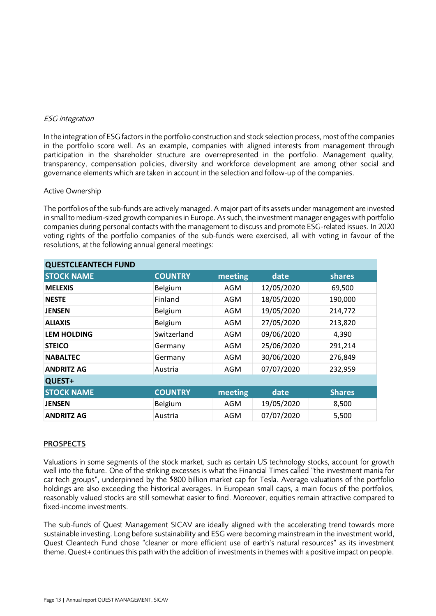### ESG integration

In the integration of ESG factors in the portfolio construction and stock selection process, most of the companies in the portfolio score well. As an example, companies with aligned interests from management through participation in the shareholder structure are overrepresented in the portfolio. Management quality, transparency, compensation policies, diversity and workforce development are among other social and governance elements which are taken in account in the selection and follow-up of the companies.

### Active Ownership

The portfolios of the sub-funds are actively managed. A major part of its assets under management are invested in small to medium-sized growth companies in Europe. As such, the investment manager engages with portfolio companies during personal contacts with the management to discuss and promote ESG-related issues. In 2020 voting rights of the portfolio companies of the sub-funds were exercised, all with voting in favour of the resolutions, at the following annual general meetings:

| <b>QUESTCLEANTECH FUND</b> |                |         |            |               |
|----------------------------|----------------|---------|------------|---------------|
| <b>STOCK NAME</b>          | <b>COUNTRY</b> | meeting | date       | shares        |
| <b>MELEXIS</b>             | Belgium        | AGM     | 12/05/2020 | 69,500        |
| <b>NESTE</b>               | Finland        | AGM     | 18/05/2020 | 190,000       |
| <b>JENSEN</b>              | Belgium        | AGM     | 19/05/2020 | 214,772       |
| <b>ALIAXIS</b>             | Belgium        | AGM     | 27/05/2020 | 213,820       |
| <b>LEM HOLDING</b>         | Switzerland    | AGM     | 09/06/2020 | 4,390         |
| <b>STEICO</b>              | Germany        | AGM     | 25/06/2020 | 291,214       |
| <b>NABALTEC</b>            | Germany        | AGM     | 30/06/2020 | 276,849       |
| <b>ANDRITZ AG</b>          | Austria        | AGM     | 07/07/2020 | 232,959       |
| QUEST+                     |                |         |            |               |
| <b>STOCK NAME</b>          | <b>COUNTRY</b> | meeting | date       | <b>Shares</b> |
| <b>JENSEN</b>              | Belgium        | AGM     | 19/05/2020 | 8,500         |
| <b>ANDRITZ AG</b>          | Austria        | AGM     | 07/07/2020 | 5,500         |

### PROSPECTS

Valuations in some segments of the stock market, such as certain US technology stocks, account for growth well into the future. One of the striking excesses is what the Financial Times called "the investment mania for car tech groups", underpinned by the \$800 billion market cap for Tesla. Average valuations of the portfolio holdings are also exceeding the historical averages. In European small caps, a main focus of the portfolios, reasonably valued stocks are still somewhat easier to find. Moreover, equities remain attractive compared to fixed-income investments.

The sub-funds of Quest Management SICAV are ideally aligned with the accelerating trend towards more sustainable investing. Long before sustainability and ESG were becoming mainstream in the investment world, Quest Cleantech Fund chose "cleaner or more efficient use of earth's natural resources" as its investment theme. Quest+ continues this path with the addition of investments in themes with a positive impact on people.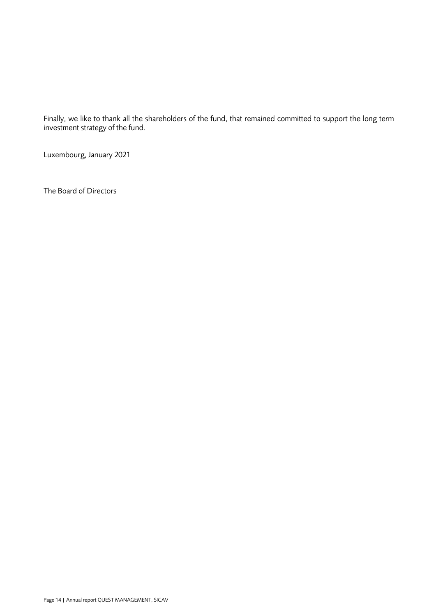Finally, we like to thank all the shareholders of the fund, that remained committed to support the long term investment strategy of the fund.

Luxembourg, January 2021

The Board of Directors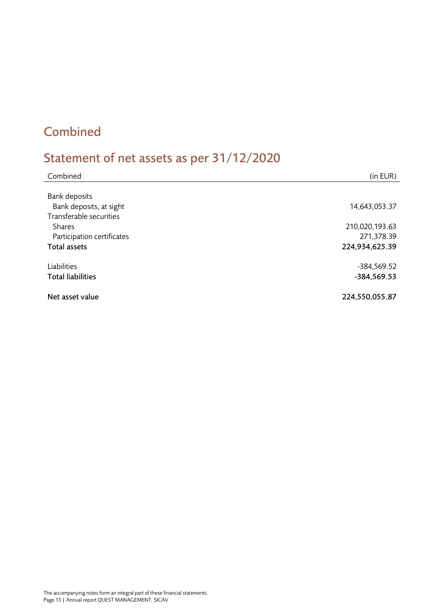## <span id="page-14-0"></span>Combined

# <span id="page-14-1"></span>Statement of net assets as per 31/12/2020

| Combined                                           | (in EUR)       |
|----------------------------------------------------|----------------|
| <b>Bank deposits</b>                               |                |
| Bank deposits, at sight<br>Transferable securities | 14,643,053.37  |
| <b>Shares</b>                                      | 210,020,193.63 |
| Participation certificates                         | 271,378.39     |
| <b>Total assets</b>                                | 224,934,625.39 |
|                                                    |                |
| Liabilities                                        | -384,569.52    |
| <b>Total liabilities</b>                           | -384,569.53    |
|                                                    |                |
| Net asset value                                    | 224,550,055.87 |
|                                                    |                |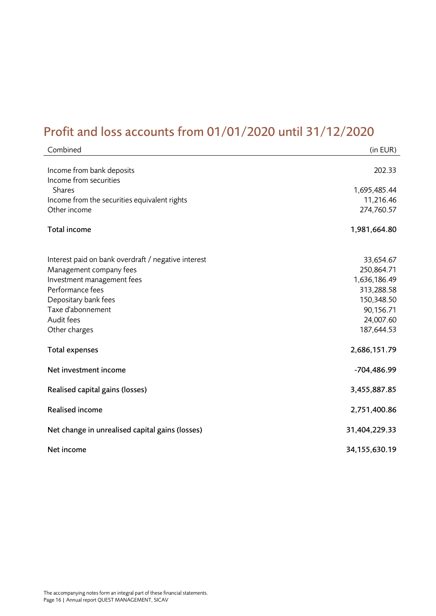## <span id="page-15-0"></span>Profit and loss accounts from 01/01/2020 until 31/12/2020

| Combined                                            | (in EUR)         |
|-----------------------------------------------------|------------------|
| Income from bank deposits                           | 202.33           |
| Income from securities<br><b>Shares</b>             | 1,695,485.44     |
| Income from the securities equivalent rights        | 11,216.46        |
| Other income                                        | 274,760.57       |
| Total income                                        | 1,981,664.80     |
| Interest paid on bank overdraft / negative interest | 33,654.67        |
| Management company fees                             | 250,864.71       |
| Investment management fees                          | 1,636,186.49     |
| Performance fees                                    | 313,288.58       |
| Depositary bank fees                                | 150,348.50       |
| Taxe d'abonnement                                   | 90,156.71        |
| Audit fees                                          | 24,007.60        |
| Other charges                                       | 187,644.53       |
| Total expenses                                      | 2,686,151.79     |
| Net investment income                               | -704,486.99      |
| Realised capital gains (losses)                     | 3,455,887.85     |
| <b>Realised income</b>                              | 2,751,400.86     |
| Net change in unrealised capital gains (losses)     | 31,404,229.33    |
| Net income                                          | 34, 155, 630. 19 |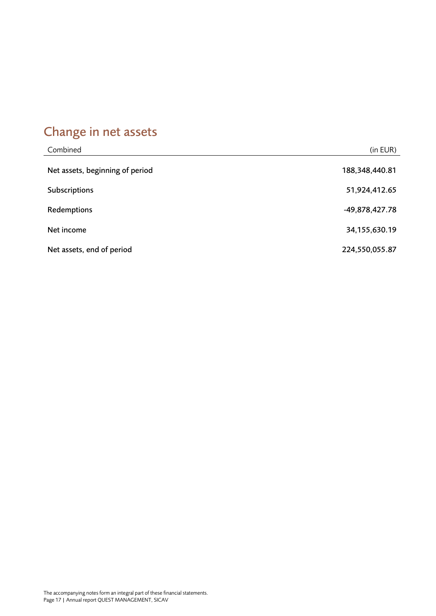## <span id="page-16-0"></span>Change in net assets

| Combined                        | (in EUR)       |
|---------------------------------|----------------|
| Net assets, beginning of period | 188,348,440.81 |
| Subscriptions                   | 51,924,412.65  |
| Redemptions                     | -49,878,427.78 |
| Net income                      | 34,155,630.19  |
| Net assets, end of period       | 224,550,055.87 |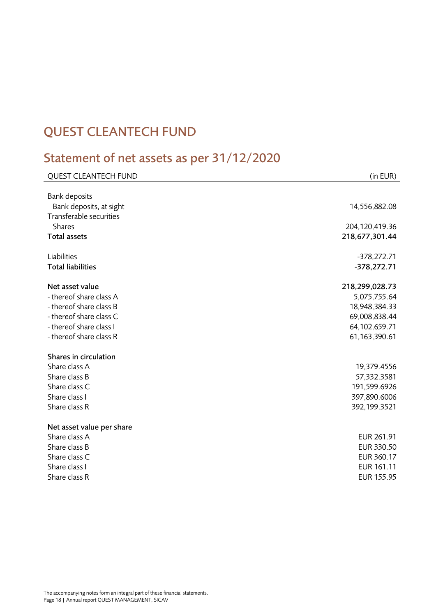## <span id="page-17-0"></span>QUEST CLEANTECH FUND

## <span id="page-17-1"></span>Statement of net assets as per 31/12/2020

| <b>QUEST CLEANTECH FUND</b> | (in EUR)          |
|-----------------------------|-------------------|
|                             |                   |
| <b>Bank deposits</b>        |                   |
| Bank deposits, at sight     | 14,556,882.08     |
| Transferable securities     |                   |
| <b>Shares</b>               | 204,120,419.36    |
| <b>Total assets</b>         | 218,677,301.44    |
| Liabilities                 | $-378,272.71$     |
| <b>Total liabilities</b>    | $-378,272.71$     |
| Net asset value             | 218,299,028.73    |
| - thereof share class A     | 5,075,755.64      |
| - thereof share class B     | 18,948,384.33     |
| - thereof share class C     | 69,008,838.44     |
| - thereof share class I     | 64,102,659.71     |
| - thereof share class R     | 61, 163, 390. 61  |
| Shares in circulation       |                   |
| Share class A               | 19,379.4556       |
| Share class B               | 57,332.3581       |
| Share class C               | 191,599.6926      |
| Share class I               | 397,890.6006      |
| Share class R               | 392,199.3521      |
| Net asset value per share   |                   |
| Share class A               | EUR 261.91        |
| Share class B               | EUR 330.50        |
| Share class C               | EUR 360.17        |
| Share class I               | EUR 161.11        |
| Share class R               | <b>EUR 155.95</b> |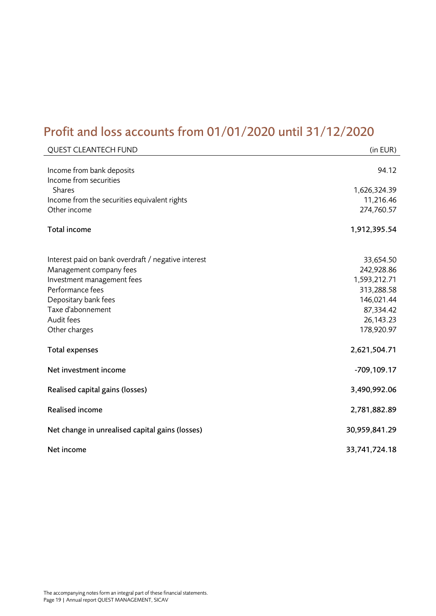## <span id="page-18-0"></span>Profit and loss accounts from 01/01/2020 until 31/12/2020

| <b>QUEST CLEANTECH FUND</b>                                                                                                                                                                                  | (in EUR)                                                                                                    |
|--------------------------------------------------------------------------------------------------------------------------------------------------------------------------------------------------------------|-------------------------------------------------------------------------------------------------------------|
| Income from bank deposits<br>Income from securities<br><b>Shares</b>                                                                                                                                         | 94.12<br>1,626,324.39                                                                                       |
| Income from the securities equivalent rights<br>Other income                                                                                                                                                 | 11,216.46<br>274,760.57                                                                                     |
| Total income                                                                                                                                                                                                 | 1,912,395.54                                                                                                |
| Interest paid on bank overdraft / negative interest<br>Management company fees<br>Investment management fees<br>Performance fees<br>Depositary bank fees<br>Taxe d'abonnement<br>Audit fees<br>Other charges | 33,654.50<br>242,928.86<br>1,593,212.71<br>313,288.58<br>146,021.44<br>87,334.42<br>26,143.23<br>178,920.97 |
| Total expenses                                                                                                                                                                                               | 2,621,504.71                                                                                                |
| Net investment income                                                                                                                                                                                        | -709,109.17                                                                                                 |
| Realised capital gains (losses)                                                                                                                                                                              | 3,490,992.06                                                                                                |
| <b>Realised income</b>                                                                                                                                                                                       | 2,781,882.89                                                                                                |
| Net change in unrealised capital gains (losses)                                                                                                                                                              | 30,959,841.29                                                                                               |
| Net income                                                                                                                                                                                                   | 33,741,724.18                                                                                               |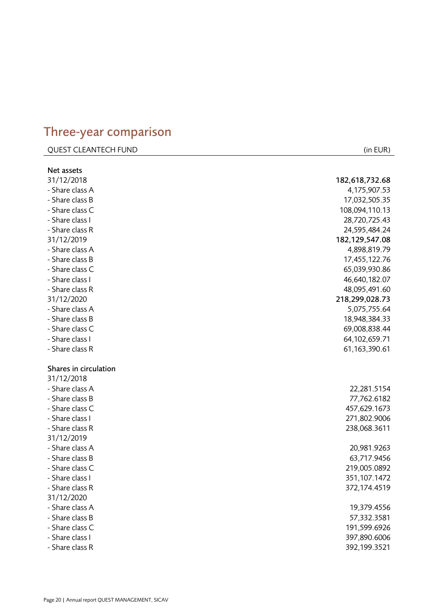### <span id="page-19-0"></span>Three -year comparison

### QUEST CLEANTECH FUND (in EUR)

| Net assets            |                  |
|-----------------------|------------------|
| 31/12/2018            | 182,618,732.68   |
| - Share class A       | 4,175,907.53     |
| - Share class B       | 17,032,505.35    |
| - Share class C       | 108,094,110.13   |
| - Share class I       | 28,720,725.43    |
| - Share class R       | 24,595,484.24    |
| 31/12/2019            | 182, 129, 547.08 |
| - Share class A       | 4,898,819.79     |
| - Share class B       | 17,455,122.76    |
| - Share class C       | 65,039,930.86    |
| - Share class I       | 46,640,182.07    |
| - Share class R       | 48,095,491.60    |
| 31/12/2020            | 218,299,028.73   |
| - Share class A       | 5,075,755.64     |
| - Share class B       | 18,948,384.33    |
| - Share class C       | 69,008,838.44    |
| - Share class I       | 64,102,659.71    |
| - Share class R       | 61, 163, 390. 61 |
|                       |                  |
| Shares in circulation |                  |
| 31/12/2018            |                  |
| - Share class A       | 22,281.5154      |
| - Share class B       | 77,762.6182      |
| - Share class C       | 457,629.1673     |
| - Share class I       | 271,802.9006     |
| - Share class R       | 238,068.3611     |
| 31/12/2019            |                  |
| - Share class A       | 20,981.9263      |
| - Share class B       | 63,717.9456      |
| - Share class C       | 219,005.0892     |
| - Share class I       | 351,107.1472     |
| - Share class R       | 372,174.4519     |
| 31/12/2020            |                  |
| - Share class A       | 19,379.4556      |
| - Share class B       | 57,332.3581      |
| - Share class C       | 191,599.6926     |
| - Share class I       | 397,890.6006     |
| - Share class R       | 392,199.3521     |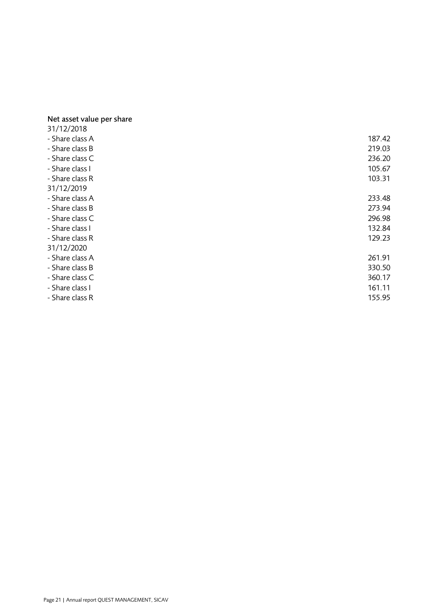### Net asset value per share

| 31/12/2018      |        |
|-----------------|--------|
| - Share class A | 187.42 |
| - Share class B | 219.03 |
| - Share class C | 236.20 |
| - Share class I | 105.67 |
| - Share class R | 103.31 |
| 31/12/2019      |        |
| - Share class A | 233.48 |
| - Share class B | 273.94 |
| - Share class C | 296.98 |
| - Share class I | 132.84 |
| - Share class R | 129.23 |
| 31/12/2020      |        |
| - Share class A | 261.91 |
| - Share class B | 330.50 |
| - Share class C | 360.17 |
| - Share class I | 161.11 |
| - Share class R | 155.95 |
|                 |        |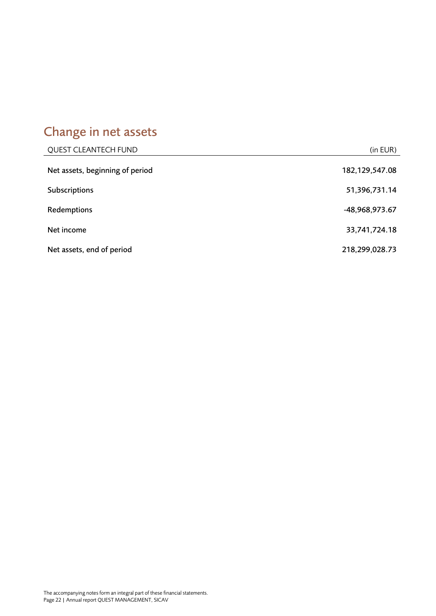# <span id="page-21-0"></span>Change in net assets

| <b>QUEST CLEANTECH FUND</b>     | (in EUR)         |
|---------------------------------|------------------|
| Net assets, beginning of period | 182, 129, 547.08 |
| Subscriptions                   | 51,396,731.14    |
| Redemptions                     | -48,968,973.67   |
| Net income                      | 33,741,724.18    |
| Net assets, end of period       | 218,299,028.73   |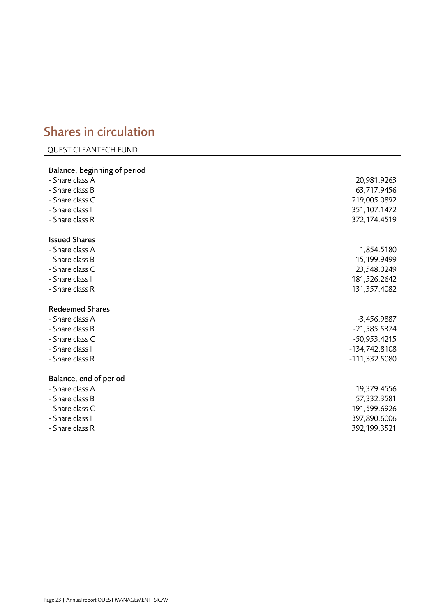## <span id="page-22-0"></span>Shares in circulation

### QUEST CLEANTECH FUND

| Balance, beginning of period |                |
|------------------------------|----------------|
| - Share class A              | 20,981.9263    |
| - Share class B              | 63,717.9456    |
| - Share class C              | 219,005.0892   |
| - Share class I              | 351,107.1472   |
| - Share class R              | 372,174.4519   |
| <b>Issued Shares</b>         |                |
| - Share class A              | 1,854.5180     |
| - Share class B              | 15,199.9499    |
| - Share class C              | 23,548.0249    |
| - Share class I              | 181,526.2642   |
| - Share class R              | 131,357.4082   |
| <b>Redeemed Shares</b>       |                |
| - Share class A              | $-3,456.9887$  |
| - Share class B              | $-21,585.5374$ |
| - Share class C              | $-50,953.4215$ |
| - Share class I              | -134,742.8108  |
| - Share class R              | -111,332.5080  |
| Balance, end of period       |                |
| - Share class A              | 19,379.4556    |
| - Share class B              | 57,332.3581    |
| - Share class C              | 191,599.6926   |
| - Share class I              | 397,890.6006   |
| - Share class R              | 392,199.3521   |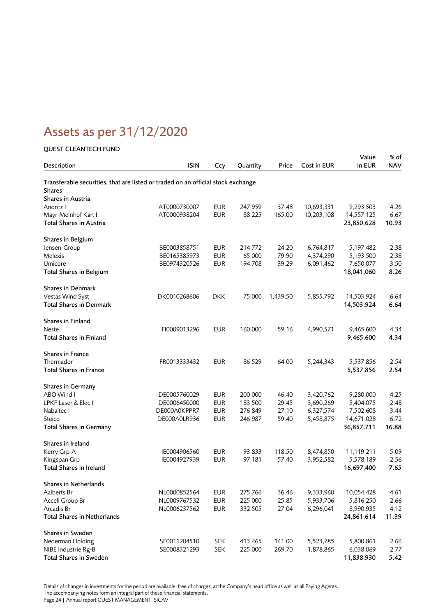## <span id="page-23-0"></span>Assets as per 31/12/2020

### QUEST CLEANTECH FUND

|                                                                                  |                              |                          |                  |                 |                        | Value                   | % of         |
|----------------------------------------------------------------------------------|------------------------------|--------------------------|------------------|-----------------|------------------------|-------------------------|--------------|
| Description                                                                      | <b>ISIN</b>                  | Ccy                      | Quantity         | Price           | Cost in EUR            | in EUR                  | <b>NAV</b>   |
| Transferable securities, that are listed or traded on an official stock exchange |                              |                          |                  |                 |                        |                         |              |
| <b>Shares</b>                                                                    |                              |                          |                  |                 |                        |                         |              |
| Shares in Austria                                                                |                              |                          |                  |                 |                        |                         |              |
| Andritz I                                                                        | AT0000730007                 | <b>EUR</b>               | 247,959          | 37.48           | 10,693,331             | 9,293,503               | 4.26         |
| Mayr-Melnhof Kart I                                                              | AT0000938204                 | <b>EUR</b>               | 88,225           | 165.00          | 10,203,108             | 14,557,125              | 6.67         |
| Total Shares in Austria                                                          |                              |                          |                  |                 |                        | 23,850,628              | 10.93        |
| Shares in Belgium                                                                |                              |                          |                  |                 |                        |                         |              |
| Jensen-Group                                                                     | BE0003858751                 | <b>EUR</b>               | 214,772          | 24.20           | 6,764,817              | 5,197,482               | 2.38         |
| Melexis                                                                          | BE0165385973                 | <b>EUR</b>               | 65,000           | 79.90           | 4,374,290              | 5,193,500               | 2.38         |
| Umicore                                                                          | BE0974320526                 | <b>EUR</b>               | 194,708          | 39.29           | 6,091,462              | 7,650,077               | 3.50         |
| <b>Total Shares in Belgium</b>                                                   |                              |                          |                  |                 |                        | 18,041,060              | 8.26         |
| <b>Shares in Denmark</b>                                                         |                              |                          |                  |                 |                        |                         |              |
| Vestas Wind Syst                                                                 | DK0010268606                 | <b>DKK</b>               | 75,000           | 1,439.50        | 5,855,792              | 14,503,924              | 6.64         |
| <b>Total Shares in Denmark</b>                                                   |                              |                          |                  |                 |                        | 14,503,924              | 6.64         |
| Shares in Finland                                                                |                              |                          |                  |                 |                        |                         |              |
| <b>Neste</b>                                                                     | FI0009013296                 | <b>EUR</b>               | 160,000          | 59.16           | 4,990,571              | 9,465,600               | 4.34         |
| <b>Total Shares in Finland</b>                                                   |                              |                          |                  |                 |                        | 9,465,600               | 4.34         |
| <b>Shares in France</b>                                                          |                              |                          |                  |                 |                        |                         |              |
| Thermador                                                                        | FR0013333432                 | <b>EUR</b>               | 86,529           | 64.00           | 5,244,343              | 5,537,856               | 2.54         |
| <b>Total Shares in France</b>                                                    |                              |                          |                  |                 |                        | 5,537,856               | 2.54         |
| <b>Shares in Germany</b>                                                         |                              |                          |                  |                 |                        |                         |              |
| ABO Wind I                                                                       | DE0005760029                 | <b>EUR</b>               | 200,000          | 46.40           | 3,420,762              | 9,280,000               | 4.25         |
| LPKF Laser & Elec I                                                              | DE0006450000                 | <b>EUR</b>               | 183,500          | 29.45           | 3,690,269              | 5,404,075               | 2.48         |
| Nabaltec I                                                                       | DE000A0KPPR7                 | <b>EUR</b>               | 276,849          | 27.10           | 6,327,574              | 7,502,608               | 3.44         |
| Steico                                                                           | DE000A0LR936                 | <b>EUR</b>               | 246,987          | 59.40           | 5,458,875              | 14,671,028              | 6.72         |
| <b>Total Shares in Germany</b>                                                   |                              |                          |                  |                 |                        | 36,857,711              | 16.88        |
| Shares in Ireland<br>Kerry Grp-A-                                                |                              |                          |                  |                 |                        |                         |              |
| Kingspan Grp                                                                     | IE0004906560<br>IE0004927939 | <b>EUR</b><br><b>EUR</b> | 93,833<br>97,181 | 118.50<br>57.40 | 8,474,850<br>3,952,582 | 11,119,211<br>5,578,189 | 5.09<br>2.56 |
| Total Shares in Ireland                                                          |                              |                          |                  |                 |                        |                         | 7.65         |
|                                                                                  |                              |                          |                  |                 |                        | 16,697,400              |              |
| Shares in Netherlands                                                            |                              |                          |                  |                 |                        |                         |              |
| Aalberts Br                                                                      | NL0000852564                 | <b>EUR</b>               | 275,766          | 36.46           | 9,333,960              | 10,054,428              | 4.61         |
| Accell Group Br                                                                  | NL0009767532                 | <b>EUR</b>               | 225,000          | 25.85           | 5,933,706              | 5,816,250               | 2.66         |
| Arcadis Br                                                                       | NL0006237562                 | <b>EUR</b>               | 332,505          | 27.04           | 6,296,041              | 8,990,935               | 4.12         |
| Total Shares in Netherlands                                                      |                              |                          |                  |                 |                        | 24,861,614              | 11.39        |
| Shares in Sweden                                                                 |                              |                          |                  |                 |                        |                         |              |
| Nederman Holding                                                                 | SE0011204510                 | <b>SEK</b>               | 413,465          | 141.00          | 5,523,785              | 5,800,861               | 2.66         |
| NIBE Industrie Rg-B                                                              | SE0008321293                 | <b>SEK</b>               | 225,000          | 269.70          | 1,878,865              | 6,038,069               | 2.77         |
| Total Shares in Sweden                                                           |                              |                          |                  |                 |                        | 11,838,930              | 5.42         |

Details of changes in investments for the period are available, free of charges, at the Company's head office as well as all Paying Agents. The accompanying notes form an integral part of these financial statements.

Page 24 | Annual report QUEST MANAGEMENT, SICAV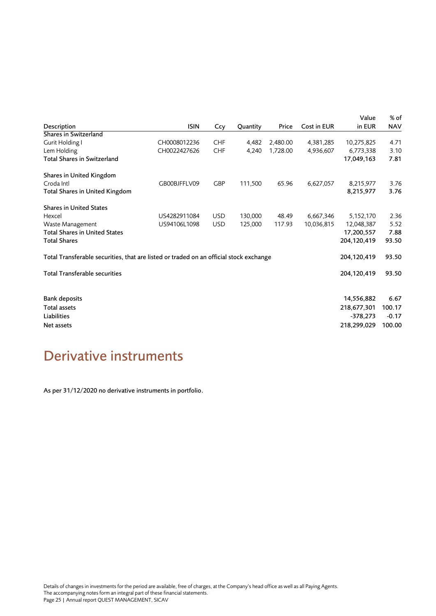| Description                                                                            | <b>ISIN</b>  | Ccy        | Quantity | Price    | Cost in EUR | Value<br>in EUR | % of<br><b>NAV</b> |
|----------------------------------------------------------------------------------------|--------------|------------|----------|----------|-------------|-----------------|--------------------|
| Shares in Switzerland                                                                  |              |            |          |          |             |                 |                    |
| Gurit Holding I                                                                        | CH0008012236 | <b>CHF</b> | 4,482    | 2,480.00 | 4,381,285   | 10,275,825      | 4.71               |
| Lem Holding                                                                            | CH0022427626 | <b>CHF</b> | 4,240    | 1,728.00 | 4,936,607   | 6,773,338       | 3.10               |
| Total Shares in Switzerland                                                            |              |            |          |          |             | 17,049,163      | 7.81               |
| Shares in United Kingdom                                                               |              |            |          |          |             |                 |                    |
| Croda Intl                                                                             | GB00BJFFLV09 | <b>GBP</b> | 111,500  | 65.96    | 6,627,057   | 8,215,977       | 3.76               |
| Total Shares in United Kingdom                                                         |              |            |          |          |             | 8,215,977       | 3.76               |
| <b>Shares in United States</b>                                                         |              |            |          |          |             |                 |                    |
| Hexcel                                                                                 | US4282911084 | <b>USD</b> | 130,000  | 48.49    | 6,667,346   | 5,152,170       | 2.36               |
| Waste Management                                                                       | US94106L1098 | <b>USD</b> | 125,000  | 117.93   | 10,036,815  | 12,048,387      | 5.52               |
| <b>Total Shares in United States</b>                                                   |              |            |          |          |             | 17,200,557      | 7.88               |
| <b>Total Shares</b>                                                                    |              |            |          |          |             | 204,120,419     | 93.50              |
| Total Transferable securities, that are listed or traded on an official stock exchange |              |            |          |          |             | 204,120,419     | 93.50              |
| <b>Total Transferable securities</b>                                                   |              |            |          |          |             | 204,120,419     | 93.50              |
|                                                                                        |              |            |          |          |             |                 |                    |
| <b>Bank deposits</b>                                                                   |              |            |          |          |             | 14,556,882      | 6.67               |
| Total assets                                                                           |              |            |          |          |             | 218,677,301     | 100.17             |
| Liabilities                                                                            |              |            |          |          |             | $-378,273$      | $-0.17$            |
| Net assets                                                                             |              |            |          |          |             | 218,299,029     | 100.00             |
|                                                                                        |              |            |          |          |             |                 |                    |

## <span id="page-24-0"></span>Derivative instruments

As per 31/12/2020 no derivative instruments in portfolio.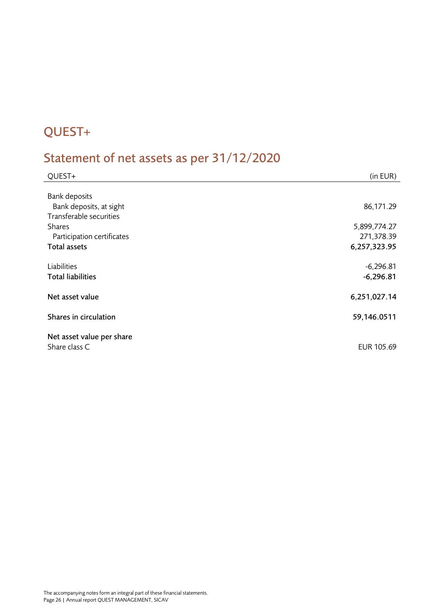## <span id="page-25-0"></span>QUEST+

# <span id="page-25-1"></span>Statement of net assets as per 31/12/2020

| QUEST+                                          | (in EUR)     |
|-------------------------------------------------|--------------|
|                                                 |              |
| <b>Bank deposits</b><br>Bank deposits, at sight | 86,171.29    |
| Transferable securities                         |              |
| <b>Shares</b>                                   | 5,899,774.27 |
| Participation certificates                      | 271,378.39   |
| <b>Total assets</b>                             | 6,257,323.95 |
| Liabilities                                     | $-6,296.81$  |
| <b>Total liabilities</b>                        | $-6,296.81$  |
|                                                 |              |
| Net asset value                                 | 6,251,027.14 |
| Shares in circulation                           | 59,146.0511  |
| Net asset value per share                       |              |
| Share class C                                   | EUR 105.69   |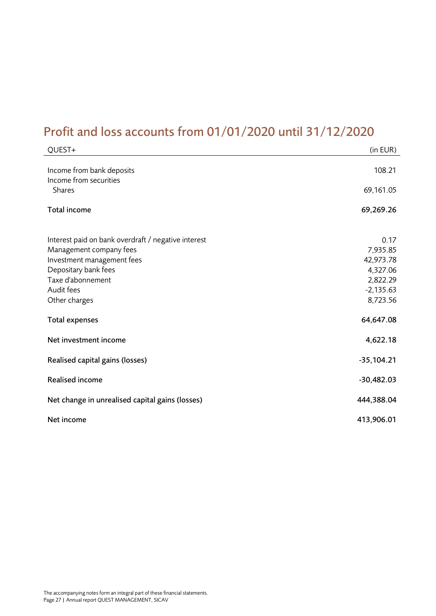## <span id="page-26-0"></span>Profit and loss accounts from 01/01/2020 until 31/12/2020

| QUEST+                                                                                                                                                                                   | (in EUR)                                                                         |
|------------------------------------------------------------------------------------------------------------------------------------------------------------------------------------------|----------------------------------------------------------------------------------|
| Income from bank deposits<br>Income from securities<br><b>Shares</b>                                                                                                                     | 108.21<br>69,161.05                                                              |
| Total income                                                                                                                                                                             | 69,269.26                                                                        |
| Interest paid on bank overdraft / negative interest<br>Management company fees<br>Investment management fees<br>Depositary bank fees<br>Taxe d'abonnement<br>Audit fees<br>Other charges | 0.17<br>7,935.85<br>42,973.78<br>4,327.06<br>2,822.29<br>$-2,135.63$<br>8,723.56 |
| <b>Total expenses</b>                                                                                                                                                                    | 64,647.08                                                                        |
| Net investment income                                                                                                                                                                    | 4,622.18                                                                         |
| Realised capital gains (losses)                                                                                                                                                          | $-35,104.21$                                                                     |
| <b>Realised income</b>                                                                                                                                                                   | $-30,482.03$                                                                     |
| Net change in unrealised capital gains (losses)                                                                                                                                          | 444,388.04                                                                       |
| Net income                                                                                                                                                                               | 413,906.01                                                                       |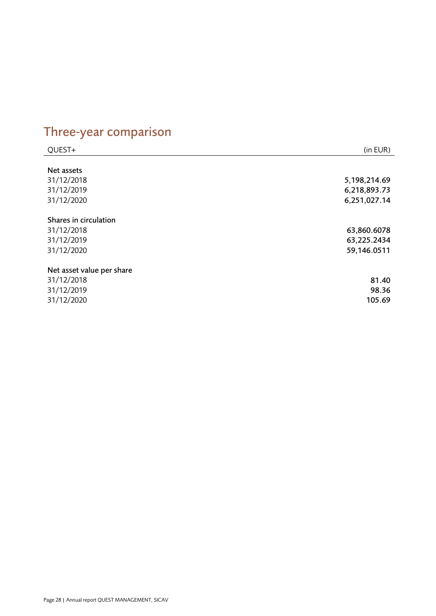# <span id="page-27-0"></span>Three-year comparison

| QUEST+                    | (in EUR)     |
|---------------------------|--------------|
|                           |              |
| Net assets                |              |
| 31/12/2018                | 5,198,214.69 |
| 31/12/2019                | 6,218,893.73 |
| 31/12/2020                | 6,251,027.14 |
| Shares in circulation     |              |
| 31/12/2018                | 63,860.6078  |
| 31/12/2019                | 63,225.2434  |
| 31/12/2020                | 59,146.0511  |
| Net asset value per share |              |
| 31/12/2018                | 81.40        |
| 31/12/2019                | 98.36        |
| 31/12/2020                | 105.69       |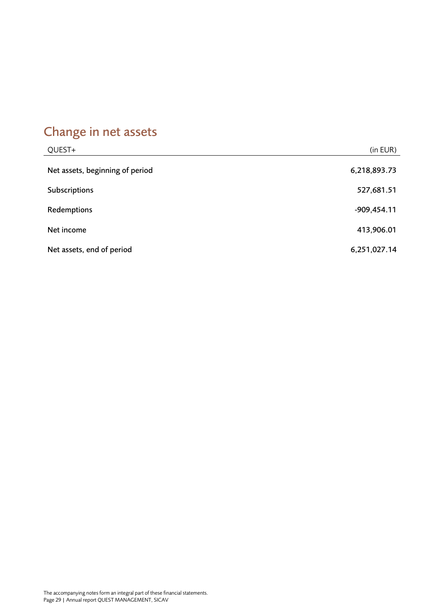# <span id="page-28-0"></span>Change in net assets

| QUEST+                          | (in EUR)      |
|---------------------------------|---------------|
| Net assets, beginning of period | 6,218,893.73  |
| Subscriptions                   | 527,681.51    |
| Redemptions                     | $-909,454.11$ |
| Net income                      | 413,906.01    |
| Net assets, end of period       | 6,251,027.14  |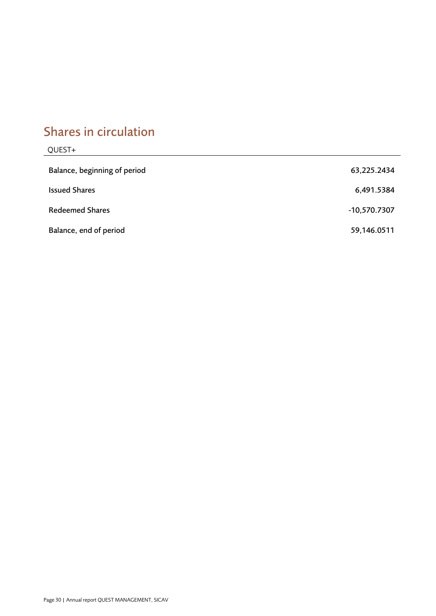## <span id="page-29-0"></span>Shares in circulation

| QUEST+                       |              |
|------------------------------|--------------|
| Balance, beginning of period | 63,225.2434  |
| <b>Issued Shares</b>         | 6,491.5384   |
| <b>Redeemed Shares</b>       | -10,570.7307 |
| Balance, end of period       | 59,146.0511  |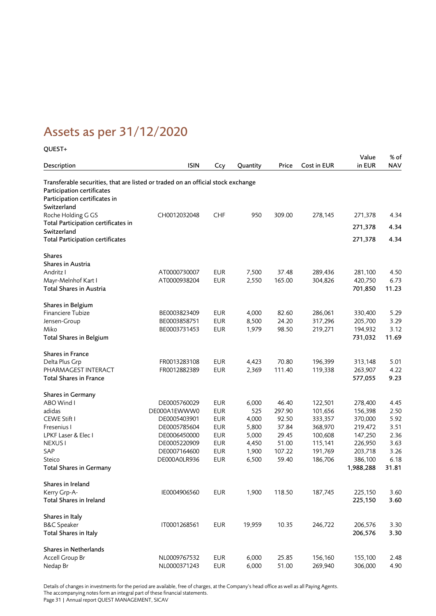## <span id="page-30-0"></span>Assets as per 31/12/2020

### QUEST+

| Description                                                                      | <b>ISIN</b>  | Ccy        | Quantity | Price  | Cost in EUR | Value<br>in EUR | % of<br><b>NAV</b> |
|----------------------------------------------------------------------------------|--------------|------------|----------|--------|-------------|-----------------|--------------------|
| Transferable securities, that are listed or traded on an official stock exchange |              |            |          |        |             |                 |                    |
| Participation certificates                                                       |              |            |          |        |             |                 |                    |
| Participation certificates in                                                    |              |            |          |        |             |                 |                    |
| Switzerland                                                                      |              |            |          |        |             |                 |                    |
| Roche Holding G GS                                                               | CH0012032048 | <b>CHF</b> | 950      | 309.00 | 278,145     | 271,378         | 4.34               |
| Total Participation certificates in                                              |              |            |          |        |             |                 | 4.34               |
| Switzerland                                                                      |              |            |          |        |             | 271,378         |                    |
| <b>Total Participation certificates</b>                                          |              |            |          |        |             | 271,378         | 4.34               |
| <b>Shares</b>                                                                    |              |            |          |        |             |                 |                    |
| Shares in Austria                                                                |              |            |          |        |             |                 |                    |
| Andritz I                                                                        | AT0000730007 | <b>EUR</b> | 7,500    | 37.48  | 289,436     | 281,100         | 4.50               |
| Mayr-Melnhof Kart I                                                              | AT0000938204 | <b>EUR</b> | 2,550    | 165.00 | 304,826     | 420,750         | 6.73               |
| Total Shares in Austria                                                          |              |            |          |        |             | 701,850         | 11.23              |
| Shares in Belgium                                                                |              |            |          |        |             |                 |                    |
| Financiere Tubize                                                                | BE0003823409 | <b>EUR</b> | 4,000    | 82.60  | 286,061     | 330,400         | 5.29               |
| Jensen-Group                                                                     | BE0003858751 | <b>EUR</b> | 8,500    | 24.20  | 317,296     | 205,700         | 3.29               |
| Miko                                                                             | BE0003731453 | <b>EUR</b> | 1,979    | 98.50  | 219,271     | 194,932         | 3.12               |
| <b>Total Shares in Belgium</b>                                                   |              |            |          |        |             | 731,032         | 11.69              |
| <b>Shares in France</b>                                                          |              |            |          |        |             |                 |                    |
| Delta Plus Grp                                                                   | FR0013283108 | <b>EUR</b> | 4,423    | 70.80  | 196,399     | 313,148         | 5.01               |
| PHARMAGEST INTERACT                                                              | FR0012882389 | <b>EUR</b> | 2,369    | 111.40 | 119,338     | 263,907         | 4.22               |
| <b>Total Shares in France</b>                                                    |              |            |          |        |             | 577,055         | 9.23               |
| Shares in Germany                                                                |              |            |          |        |             |                 |                    |
| ABO Wind I                                                                       | DE0005760029 | <b>EUR</b> | 6,000    | 46.40  | 122,501     | 278,400         | 4.45               |
| adidas                                                                           | DE000A1EWWW0 | <b>EUR</b> | 525      | 297.90 | 101,656     | 156,398         | 2.50               |
| CEWE Stift I                                                                     | DE0005403901 | <b>EUR</b> | 4,000    | 92.50  | 333,357     | 370,000         | 5.92               |
| Fresenius I                                                                      | DE0005785604 | <b>EUR</b> | 5,800    | 37.84  | 368,970     | 219,472         | 3.51               |
| LPKF Laser & Elec I                                                              | DE0006450000 | <b>EUR</b> | 5,000    | 29.45  | 100,608     | 147,250         | 2.36               |
| NEXUS I                                                                          | DE0005220909 | <b>EUR</b> | 4,450    | 51.00  | 115,141     | 226,950         | 3.63               |
| SAP                                                                              | DE0007164600 | <b>EUR</b> | 1,900    | 107.22 | 191,769     | 203,718         | 3.26               |
| Steico                                                                           | DE000A0LR936 | <b>EUR</b> | 6,500    | 59.40  | 186,706     | 386,100         | 6.18               |
| <b>Total Shares in Germany</b>                                                   |              |            |          |        |             | 1,988,288       | 31.81              |
| Shares in Ireland                                                                |              |            |          |        |             |                 |                    |
| Kerry Grp-A-                                                                     | IE0004906560 | <b>EUR</b> | 1,900    | 118.50 | 187,745     | 225,150         | 3.60               |
| Total Shares in Ireland                                                          |              |            |          |        |             | 225,150         | 3.60               |
| Shares in Italy                                                                  |              |            |          |        |             |                 |                    |
| <b>B&amp;C</b> Speaker                                                           | IT0001268561 | <b>EUR</b> | 19,959   | 10.35  | 246,722     | 206,576         | 3.30               |
| Total Shares in Italy                                                            |              |            |          |        |             | 206,576         | 3.30               |
| <b>Shares in Netherlands</b>                                                     |              |            |          |        |             |                 |                    |
| Accell Group Br                                                                  | NL0009767532 | <b>EUR</b> | 6,000    | 25.85  | 156,160     | 155,100         | 2.48               |
| Nedap Br                                                                         | NL0000371243 | <b>EUR</b> | 6,000    | 51.00  | 269,940     | 306,000         | 4.90               |

Details of changes in investments for the period are available, free of charges, at the Company's head office as well as all Paying Agents. The accompanying notes form an integral part of these financial statements.

Page 31 | Annual report QUEST MANAGEMENT, SICAV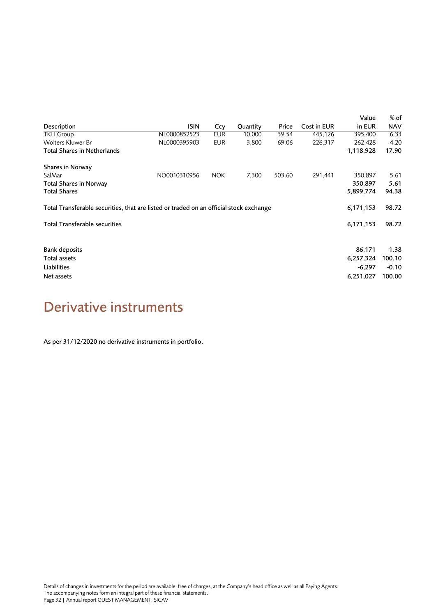|                                                                                        |              |            |          |        |             | Value     | % of       |
|----------------------------------------------------------------------------------------|--------------|------------|----------|--------|-------------|-----------|------------|
| Description                                                                            | <b>ISIN</b>  | Ccy        | Quantity | Price  | Cost in EUR | in EUR    | <b>NAV</b> |
| <b>TKH Group</b>                                                                       | NL0000852523 | <b>EUR</b> | 10,000   | 39.54  | 445,126     | 395,400   | 6.33       |
| Wolters Kluwer Br                                                                      | NL0000395903 | <b>EUR</b> | 3,800    | 69.06  | 226,317     | 262,428   | 4.20       |
| Total Shares in Netherlands                                                            |              |            |          |        |             | 1,118,928 | 17.90      |
| Shares in Norway                                                                       |              |            |          |        |             |           |            |
| SalMar                                                                                 | NO0010310956 | <b>NOK</b> | 7,300    | 503.60 | 291,441     | 350,897   | 5.61       |
| <b>Total Shares in Norway</b>                                                          |              |            |          |        |             | 350,897   | 5.61       |
| <b>Total Shares</b>                                                                    |              |            |          |        |             | 5,899,774 | 94.38      |
| Total Transferable securities, that are listed or traded on an official stock exchange |              |            |          |        |             | 6,171,153 | 98.72      |
| <b>Total Transferable securities</b>                                                   |              |            |          |        |             | 6,171,153 | 98.72      |
| <b>Bank deposits</b>                                                                   |              |            |          |        |             | 86,171    | 1.38       |
|                                                                                        |              |            |          |        |             |           |            |
| Total assets                                                                           |              |            |          |        |             | 6,257,324 | 100.10     |
| Liabilities                                                                            |              |            |          |        |             | $-6,297$  | $-0.10$    |
| Net assets                                                                             |              |            |          |        |             | 6,251,027 | 100.00     |

## <span id="page-31-0"></span>Derivative instruments

As per 31/12/2020 no derivative instruments in portfolio.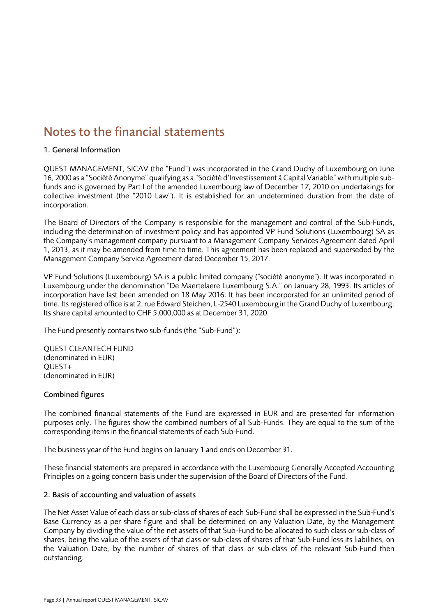## <span id="page-32-0"></span>Notes to the financial statements

### 1. General Information

QUEST MANAGEMENT, SICAV (the "Fund") was incorporated in the Grand Duchy of Luxembourg on June 16, 2000 as a "Société Anonyme" qualifying as a "Société d'Investissement à Capital Variable" with multiple subfunds and is governed by Part I of the amended Luxembourg law of December 17, 2010 on undertakings for collective investment (the "2010 Law"). It is established for an undetermined duration from the date of incorporation.

The Board of Directors of the Company is responsible for the management and control of the Sub-Funds, including the determination of investment policy and has appointed VP Fund Solutions (Luxembourg) SA as the Company's management company pursuant to a Management Company Services Agreement dated April 1, 2013, as it may be amended from time to time. This agreement has been replaced and superseded by the Management Company Service Agreement dated December 15, 2017.

VP Fund Solutions (Luxembourg) SA is a public limited company ("société anonyme"). It was incorporated in Luxembourg under the denomination "De Maertelaere Luxembourg S.A." on January 28, 1993. Its articles of incorporation have last been amended on 18 May 2016. It has been incorporated for an unlimited period of time. Its registered office is at 2, rue Edward Steichen, L-2540 Luxembourg in the Grand Duchy of Luxembourg. Its share capital amounted to CHF 5,000,000 as at December 31, 2020.

The Fund presently contains two sub-funds (the "Sub-Fund"):

QUEST CLEANTECH FUND (denominated in EUR) QUEST+ (denominated in EUR)

### Combined figures

The combined financial statements of the Fund are expressed in EUR and are presented for information purposes only. The figures show the combined numbers of all Sub-Funds. They are equal to the sum of the corresponding items in the financial statements of each Sub-Fund.

The business year of the Fund begins on January 1 and ends on December 31.

These financial statements are prepared in accordance with the Luxembourg Generally Accepted Accounting Principles on a going concern basis under the supervision of the Board of Directors of the Fund.

### 2. Basis of accounting and valuation of assets

The Net Asset Value of each class or sub-class of shares of each Sub-Fund shall be expressed in the Sub-Fund's Base Currency as a per share figure and shall be determined on any Valuation Date, by the Management Company by dividing the value of the net assets of that Sub-Fund to be allocated to such class or sub-class of shares, being the value of the assets of that class or sub-class of shares of that Sub-Fund less its liabilities, on the Valuation Date, by the number of shares of that class or sub-class of the relevant Sub-Fund then outstanding.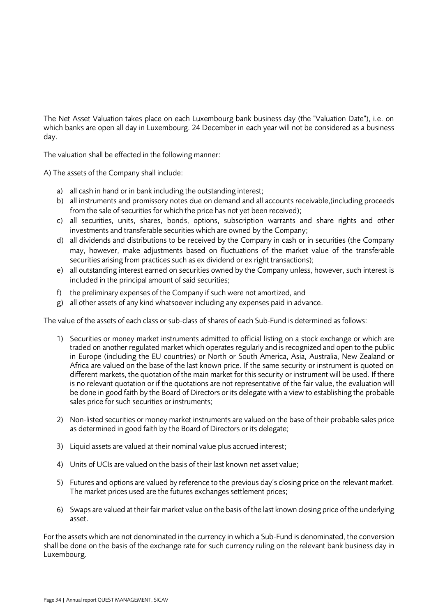The Net Asset Valuation takes place on each Luxembourg bank business day (the "Valuation Date"), i.e. on which banks are open all day in Luxembourg. 24 December in each year will not be considered as a business day.

The valuation shall be effected in the following manner:

A) The assets of the Company shall include:

- a) all cash in hand or in bank including the outstanding interest;
- b) all instruments and promissory notes due on demand and all accounts receivable,(including proceeds from the sale of securities for which the price has not yet been received);
- c) all securities, units, shares, bonds, options, subscription warrants and share rights and other investments and transferable securities which are owned by the Company;
- d) all dividends and distributions to be received by the Company in cash or in securities (the Company may, however, make adjustments based on fluctuations of the market value of the transferable securities arising from practices such as ex dividend or ex right transactions);
- e) all outstanding interest earned on securities owned by the Company unless, however, such interest is included in the principal amount of said securities;
- f) the preliminary expenses of the Company if such were not amortized, and
- g) all other assets of any kind whatsoever including any expenses paid in advance.

The value of the assets of each class or sub-class of shares of each Sub-Fund is determined as follows:

- 1) Securities or money market instruments admitted to official listing on a stock exchange or which are traded on another regulated market which operates regularly and is recognized and open to the public in Europe (including the EU countries) or North or South America, Asia, Australia, New Zealand or Africa are valued on the base of the last known price. If the same security or instrument is quoted on different markets, the quotation of the main market for this security or instrument will be used. If there is no relevant quotation or if the quotations are not representative of the fair value, the evaluation will be done in good faith by the Board of Directors or its delegate with a view to establishing the probable sales price for such securities or instruments;
- 2) Non-listed securities or money market instruments are valued on the base of their probable sales price as determined in good faith by the Board of Directors or its delegate;
- 3) Liquid assets are valued at their nominal value plus accrued interest;
- 4) Units of UCIs are valued on the basis of their last known net asset value;
- 5) Futures and options are valued by reference to the previous day's closing price on the relevant market. The market prices used are the futures exchanges settlement prices;
- 6) Swaps are valued at their fair market value on the basis of the last known closing price of the underlying asset.

For the assets which are not denominated in the currency in which a Sub-Fund is denominated, the conversion shall be done on the basis of the exchange rate for such currency ruling on the relevant bank business day in Luxembourg.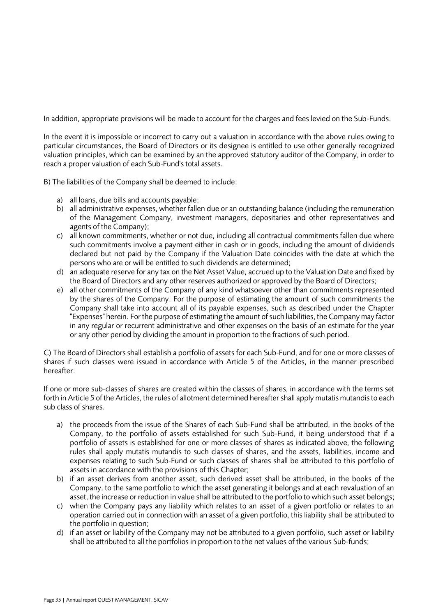In addition, appropriate provisions will be made to account for the charges and fees levied on the Sub-Funds.

In the event it is impossible or incorrect to carry out a valuation in accordance with the above rules owing to particular circumstances, the Board of Directors or its designee is entitled to use other generally recognized valuation principles, which can be examined by an the approved statutory auditor of the Company, in order to reach a proper valuation of each Sub-Fund's total assets.

B) The liabilities of the Company shall be deemed to include:

- a) all loans, due bills and accounts payable;
- b) all administrative expenses, whether fallen due or an outstanding balance (including the remuneration of the Management Company, investment managers, depositaries and other representatives and agents of the Company);
- c) all known commitments, whether or not due, including all contractual commitments fallen due where such commitments involve a payment either in cash or in goods, including the amount of dividends declared but not paid by the Company if the Valuation Date coincides with the date at which the persons who are or will be entitled to such dividends are determined;
- d) an adequate reserve for any tax on the Net Asset Value, accrued up to the Valuation Date and fixed by the Board of Directors and any other reserves authorized or approved by the Board of Directors;
- e) all other commitments of the Company of any kind whatsoever other than commitments represented by the shares of the Company. For the purpose of estimating the amount of such commitments the Company shall take into account all of its payable expenses, such as described under the Chapter "Expenses" herein. For the purpose of estimating the amount of such liabilities, the Company may factor in any regular or recurrent administrative and other expenses on the basis of an estimate for the year or any other period by dividing the amount in proportion to the fractions of such period.

C) The Board of Directors shall establish a portfolio of assets for each Sub-Fund, and for one or more classes of shares if such classes were issued in accordance with Article 5 of the Articles, in the manner prescribed hereafter.

If one or more sub-classes of shares are created within the classes of shares, in accordance with the terms set forth in Article 5 of the Articles, the rules of allotment determined hereafter shall apply mutatis mutandis to each sub class of shares.

- a) the proceeds from the issue of the Shares of each Sub-Fund shall be attributed, in the books of the Company, to the portfolio of assets established for such Sub-Fund, it being understood that if a portfolio of assets is established for one or more classes of shares as indicated above, the following rules shall apply mutatis mutandis to such classes of shares, and the assets, liabilities, income and expenses relating to such Sub-Fund or such classes of shares shall be attributed to this portfolio of assets in accordance with the provisions of this Chapter;
- b) if an asset derives from another asset, such derived asset shall be attributed, in the books of the Company, to the same portfolio to which the asset generating it belongs and at each revaluation of an asset, the increase or reduction in value shall be attributed to the portfolio to which such asset belongs;
- c) when the Company pays any liability which relates to an asset of a given portfolio or relates to an operation carried out in connection with an asset of a given portfolio, this liability shall be attributed to the portfolio in question;
- d) if an asset or liability of the Company may not be attributed to a given portfolio, such asset or liability shall be attributed to all the portfolios in proportion to the net values of the various Sub-funds;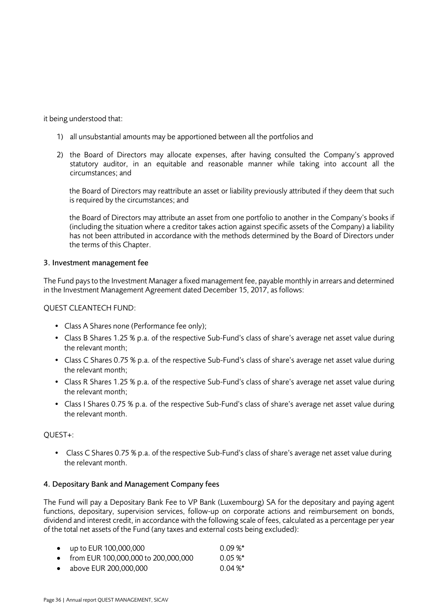it being understood that:

- 1) all unsubstantial amounts may be apportioned between all the portfolios and
- 2) the Board of Directors may allocate expenses, after having consulted the Company's approved statutory auditor, in an equitable and reasonable manner while taking into account all the circumstances; and

the Board of Directors may reattribute an asset or liability previously attributed if they deem that such is required by the circumstances; and

the Board of Directors may attribute an asset from one portfolio to another in the Company's books if (including the situation where a creditor takes action against specific assets of the Company) a liability has not been attributed in accordance with the methods determined by the Board of Directors under the terms of this Chapter.

### 3. Investment management fee

The Fund pays to the Investment Manager a fixed management fee, payable monthly in arrears and determined in the Investment Management Agreement dated December 15, 2017, as follows:

QUEST CLEANTECH FUND:

- Class A Shares none (Performance fee only);
- Class B Shares 1.25 % p.a. of the respective Sub-Fund's class of share's average net asset value during the relevant month;
- Class C Shares 0.75 % p.a. of the respective Sub-Fund's class of share's average net asset value during the relevant month;
- Class R Shares 1.25 % p.a. of the respective Sub-Fund's class of share's average net asset value during the relevant month;
- Class I Shares 0.75 % p.a. of the respective Sub-Fund's class of share's average net asset value during the relevant month.

### QUEST+:

• Class C Shares 0.75 % p.a. of the respective Sub-Fund's class of share's average net asset value during the relevant month.

### 4. Depositary Bank and Management Company fees

The Fund will pay a Depositary Bank Fee to VP Bank (Luxembourg) SA for the depositary and paying agent functions, depositary, supervision services, follow-up on corporate actions and reimbursement on bonds, dividend and interest credit, in accordance with the following scale of fees, calculated as a percentage per year of the total net assets of the Fund (any taxes and external costs being excluded):

|           | • up to EUR $100,000,000$             | $0.09\%$ * |
|-----------|---------------------------------------|------------|
|           | • from EUR 100,000,000 to 200,000,000 | $0.05 \%$  |
| $\bullet$ | above EUR 200,000,000                 | $0.04\%$ * |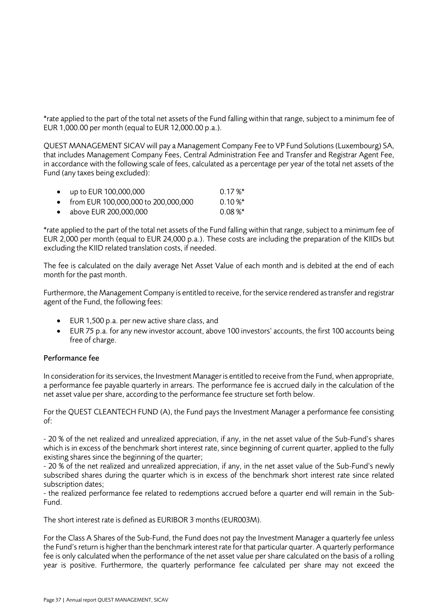\*rate applied to the part of the total net assets of the Fund falling within that range, subject to a minimum fee of EUR 1,000.00 per month (equal to EUR 12,000.00 p.a.).

QUEST MANAGEMENT SICAV will pay a Management Company Fee to VP Fund Solutions (Luxembourg) SA, that includes Management Company Fees, Central Administration Fee and Transfer and Registrar Agent Fee, in accordance with the following scale of fees, calculated as a percentage per year of the total net assets of the Fund (any taxes being excluded):

| • $up to EUR 100,000,000$             | $0.17\%$ *   |
|---------------------------------------|--------------|
| • from EUR 100,000,000 to 200,000,000 | $0.10 \%$    |
| • above EUR 200,000,000               | $0.08\,\%^*$ |

\*rate applied to the part of the total net assets of the Fund falling within that range, subject to a minimum fee of EUR 2,000 per month (equal to EUR 24,000 p.a.). These costs are including the preparation of the KIIDs but excluding the KIID related translation costs, if needed.

The fee is calculated on the daily average Net Asset Value of each month and is debited at the end of each month for the past month.

Furthermore, the Management Company is entitled to receive, for the service rendered as transfer and registrar agent of the Fund, the following fees:

- EUR 1,500 p.a. per new active share class, and
- EUR 75 p.a. for any new investor account, above 100 investors' accounts, the first 100 accounts being free of charge.

### Performance fee

In consideration for its services, the Investment Manager is entitled to receive from the Fund, when appropriate, a performance fee payable quarterly in arrears. The performance fee is accrued daily in the calculation of the net asset value per share, according to the performance fee structure set forth below.

For the QUEST CLEANTECH FUND (A), the Fund pays the Investment Manager a performance fee consisting of:

- 20 % of the net realized and unrealized appreciation, if any, in the net asset value of the Sub-Fund's shares which is in excess of the benchmark short interest rate, since beginning of current quarter, applied to the fully existing shares since the beginning of the quarter;

- 20 % of the net realized and unrealized appreciation, if any, in the net asset value of the Sub-Fund's newly subscribed shares during the quarter which is in excess of the benchmark short interest rate since related subscription dates;

- the realized performance fee related to redemptions accrued before a quarter end will remain in the Sub-Fund.

The short interest rate is defined as EURIBOR 3 months (EUR003M).

For the Class A Shares of the Sub-Fund, the Fund does not pay the Investment Manager a quarterly fee unless the Fund's return is higher than the benchmark interest rate for that particular quarter. A quarterly performance fee is only calculated when the performance of the net asset value per share calculated on the basis of a rolling year is positive. Furthermore, the quarterly performance fee calculated per share may not exceed the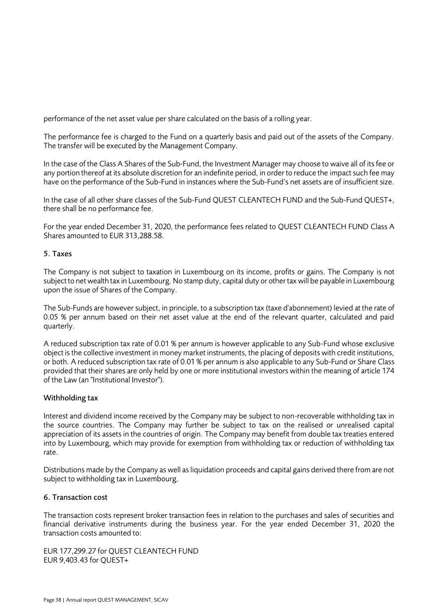performance of the net asset value per share calculated on the basis of a rolling year.

The performance fee is charged to the Fund on a quarterly basis and paid out of the assets of the Company. The transfer will be executed by the Management Company.

In the case of the Class A Shares of the Sub-Fund, the Investment Manager may choose to waive all of its fee or any portion thereof at its absolute discretion for an indefinite period, in order to reduce the impact such fee may have on the performance of the Sub-Fund in instances where the Sub-Fund's net assets are of insufficient size.

In the case of all other share classes of the Sub-Fund QUEST CLEANTECH FUND and the Sub-Fund QUEST+, there shall be no performance fee.

For the year ended December 31, 2020, the performance fees related to QUEST CLEANTECH FUND Class A Shares amounted to EUR 313,288.58.

### 5. Taxes

The Company is not subject to taxation in Luxembourg on its income, profits or gains. The Company is not subject to net wealth tax in Luxembourg. No stamp duty, capital duty or other tax will be payable in Luxembourg upon the issue of Shares of the Company.

The Sub-Funds are however subject, in principle, to a subscription tax (taxe d'abonnement) levied at the rate of 0.05 % per annum based on their net asset value at the end of the relevant quarter, calculated and paid quarterly.

A reduced subscription tax rate of 0.01 % per annum is however applicable to any Sub-Fund whose exclusive object is the collective investment in money market instruments, the placing of deposits with credit institutions, or both. A reduced subscription tax rate of 0.01 % per annum is also applicable to any Sub-Fund or Share Class provided that their shares are only held by one or more institutional investors within the meaning of article 174 of the Law (an "Institutional Investor").

### Withholding tax

Interest and dividend income received by the Company may be subject to non-recoverable withholding tax in the source countries. The Company may further be subject to tax on the realised or unrealised capital appreciation of its assets in the countries of origin. The Company may benefit from double tax treaties entered into by Luxembourg, which may provide for exemption from withholding tax or reduction of withholding tax rate.

Distributions made by the Company as well as liquidation proceeds and capital gains derived there from are not subject to withholding tax in Luxembourg.

### 6. Transaction cost

The transaction costs represent broker transaction fees in relation to the purchases and sales of securities and financial derivative instruments during the business year. For the year ended December 31, 2020 the transaction costs amounted to:

EUR 177,299.27 for QUEST CLEANTECH FUND EUR 9,403.43 for QUEST+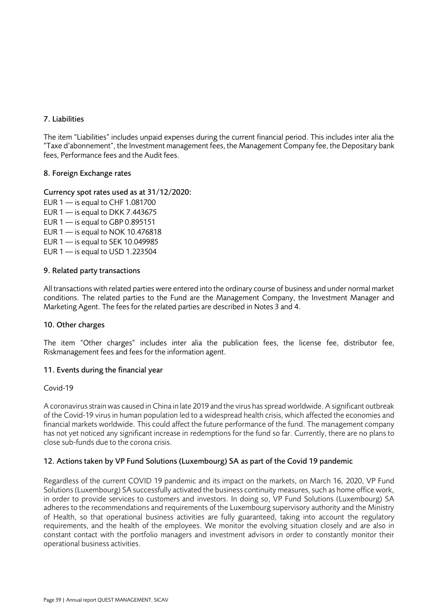### 7. Liabilities

The item "Liabilities" includes unpaid expenses during the current financial period. This includes inter alia the "Taxe d'abonnement", the Investment management fees, the Management Company fee, the Depositary bank fees, Performance fees and the Audit fees.

### 8. Foreign Exchange rates

### Currency spot rates used as at 31/12/2020:

EUR  $1 -$  is equal to CHF 1.081700 EUR  $1 -$  is equal to DKK 7.443675 EUR  $1 -$  is equal to GBP 0.895151 EUR 1 — is equal to NOK 10.476818 EUR 1 — is equal to SEK 10.049985 EUR  $1 -$  is equal to USD 1.223504

### 9. Related party transactions

All transactions with related parties were entered into the ordinary course of business and under normal market conditions. The related parties to the Fund are the Management Company, the Investment Manager and Marketing Agent. The fees for the related parties are described in Notes 3 and 4.

### 10. Other charges

The item "Other charges" includes inter alia the publication fees, the license fee, distributor fee, Riskmanagement fees and fees for the information agent.

### 11. Events during the financial year

### Covid-19

A coronavirus strain was caused in China in late 2019 and the virus has spread worldwide. A significant outbreak of the Covid-19 virus in human population led to a widespread health crisis, which affected the economies and financial markets worldwide. This could affect the future performance of the fund. The management company has not yet noticed any significant increase in redemptions for the fund so far. Currently, there are no plans to close sub-funds due to the corona crisis.

### 12. Actions taken by VP Fund Solutions (Luxembourg) SA as part of the Covid 19 pandemic

Regardless of the current COVID 19 pandemic and its impact on the markets, on March 16, 2020, VP Fund Solutions (Luxembourg) SA successfully activated the business continuity measures, such as home office work, in order to provide services to customers and investors. In doing so, VP Fund Solutions (Luxembourg) SA adheres to the recommendations and requirements of the Luxembourg supervisory authority and the Ministry of Health, so that operational business activities are fully guaranteed, taking into account the regulatory requirements, and the health of the employees. We monitor the evolving situation closely and are also in constant contact with the portfolio managers and investment advisors in order to constantly monitor their operational business activities.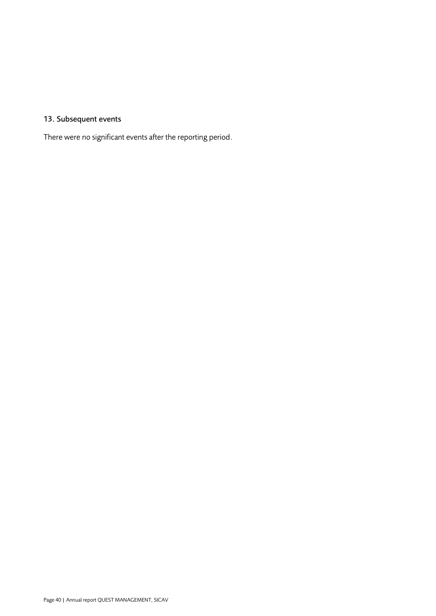### 13. Subsequent events

There were no significant events after the reporting period.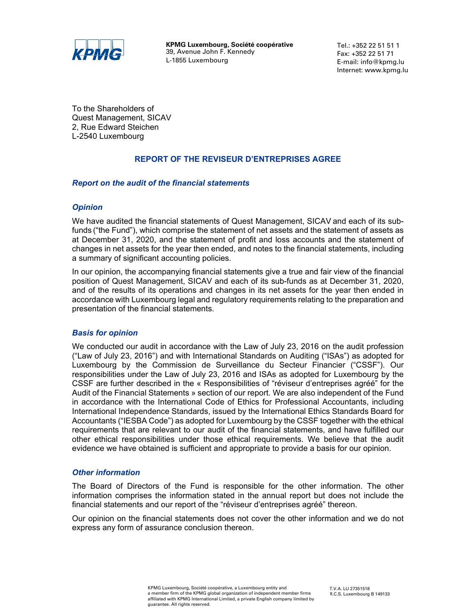

**KPMG Luxembourg, Société coopérative**  39, Avenue John F. Kennedy L-1855 Luxembourg

Tel.: +352 22 51 51 1 Fax: +352 22 51 71 E-mail: info@kpmg.lu Internet: www.kpmg.lu

<span id="page-40-0"></span>To the Shareholders of Quest Management, SICAV 2, Rue Edward Steichen L-2540 Luxembourg

### **REPORT OF THE REVISEUR D'ENTREPRISES AGREE**

### *Report on the audit of the financial statements*

### *Opinion*

We have audited the financial statements of Quest Management, SICAV and each of its subfunds ("the Fund"), which comprise the statement of net assets and the statement of assets as at December 31, 2020, and the statement of profit and loss accounts and the statement of changes in net assets for the year then ended, and notes to the financial statements, including a summary of significant accounting policies.

In our opinion, the accompanying financial statements give a true and fair view of the financial position of Quest Management, SICAV and each of its sub-funds as at December 31, 2020, and of the results of its operations and changes in its net assets for the year then ended in accordance with Luxembourg legal and regulatory requirements relating to the preparation and presentation of the financial statements.

### *Basis for opinion*

We conducted our audit in accordance with the Law of July 23, 2016 on the audit profession ("Law of July 23, 2016") and with International Standards on Auditing ("ISAs") as adopted for Luxembourg by the Commission de Surveillance du Secteur Financier ("CSSF"). Our responsibilities under the Law of July 23, 2016 and ISAs as adopted for Luxembourg by the CSSF are further described in the « Responsibilities of "réviseur d'entreprises agréé" for the Audit of the Financial Statements » section of our report. We are also independent of the Fund in accordance with the International Code of Ethics for Professional Accountants, including International Independence Standards, issued by the International Ethics Standards Board for Accountants ("IESBA Code") as adopted for Luxembourg by the CSSF together with the ethical requirements that are relevant to our audit of the financial statements, and have fulfilled our other ethical responsibilities under those ethical requirements. We believe that the audit evidence we have obtained is sufficient and appropriate to provide a basis for our opinion.

### *Other information*

The Board of Directors of the Fund is responsible for the other information. The other information comprises the information stated in the annual report but does not include the financial statements and our report of the "réviseur d'entreprises agréé" thereon.

Our opinion on the financial statements does not cover the other information and we do not express any form of assurance conclusion thereon.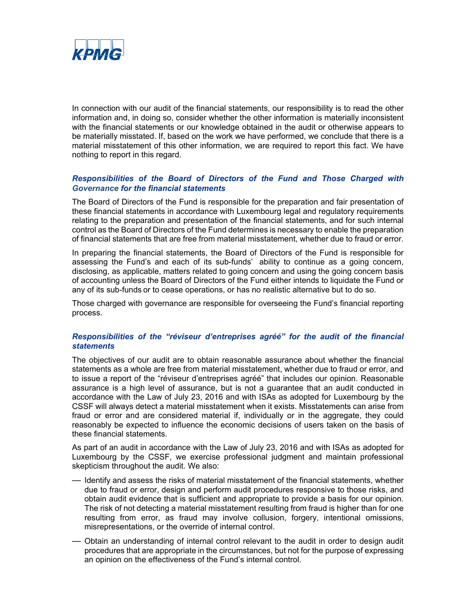

In connection with our audit of the financial statements, our responsibility is to read the other information and, in doing so, consider whether the other information is materially inconsistent with the financial statements or our knowledge obtained in the audit or otherwise appears to be materially misstated. If, based on the work we have performed, we conclude that there is a material misstatement of this other information, we are required to report this fact. We have nothing to report in this regard.

### *Responsibilities of the Board of Directors of the Fund and Those Charged with Governance for the financial statements*

The Board of Directors of the Fund is responsible for the preparation and fair presentation of these financial statements in accordance with Luxembourg legal and regulatory requirements relating to the preparation and presentation of the financial statements, and for such internal control as the Board of Directors of the Fund determines is necessary to enable the preparation of financial statements that are free from material misstatement, whether due to fraud or error.

In preparing the financial statements, the Board of Directors of the Fund is responsible for assessing the Fund's and each of its sub-funds' ability to continue as a going concern, disclosing, as applicable, matters related to going concern and using the going concern basis of accounting unless the Board of Directors of the Fund either intends to liquidate the Fund or any of its sub-funds or to cease operations, or has no realistic alternative but to do so.

Those charged with governance are responsible for overseeing the Fund's financial reporting process.

### *Responsibilities of the "réviseur d'entreprises agréé" for the audit of the financial statements*

The objectives of our audit are to obtain reasonable assurance about whether the financial statements as a whole are free from material misstatement, whether due to fraud or error, and to issue a report of the "réviseur d'entreprises agréé" that includes our opinion. Reasonable assurance is a high level of assurance, but is not a guarantee that an audit conducted in accordance with the Law of July 23, 2016 and with ISAs as adopted for Luxembourg by the CSSF will always detect a material misstatement when it exists. Misstatements can arise from fraud or error and are considered material if, individually or in the aggregate, they could reasonably be expected to influence the economic decisions of users taken on the basis of these financial statements.

As part of an audit in accordance with the Law of July 23, 2016 and with ISAs as adopted for Luxembourg by the CSSF, we exercise professional judgment and maintain professional skepticism throughout the audit. We also:

- Identify and assess the risks of material misstatement of the financial statements, whether due to fraud or error, design and perform audit procedures responsive to those risks, and obtain audit evidence that is sufficient and appropriate to provide a basis for our opinion. The risk of not detecting a material misstatement resulting from fraud is higher than for one resulting from error, as fraud may involve collusion, forgery, intentional omissions, misrepresentations, or the override of internal control.
- Obtain an understanding of internal control relevant to the audit in order to design audit procedures that are appropriate in the circumstances, but not for the purpose of expressing an opinion on the effectiveness of the Fund's internal control.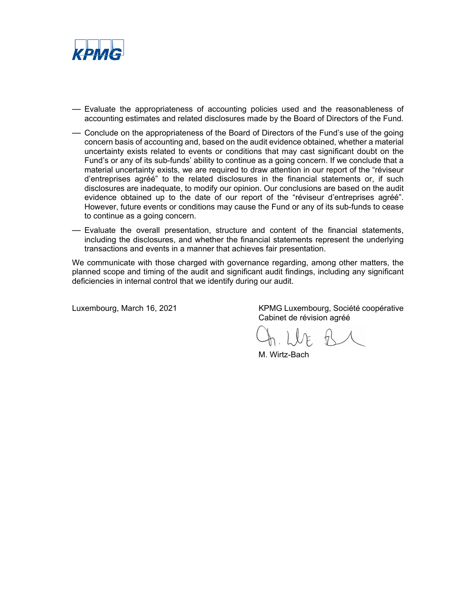

- Evaluate the appropriateness of accounting policies used and the reasonableness of accounting estimates and related disclosures made by the Board of Directors of the Fund*.*
- Conclude on the appropriateness of the Board of Directors of the Fund's use of the going concern basis of accounting and, based on the audit evidence obtained, whether a material uncertainty exists related to events or conditions that may cast significant doubt on the Fund's or any of its sub-funds' ability to continue as a going concern. If we conclude that a material uncertainty exists, we are required to draw attention in our report of the "réviseur d'entreprises agréé" to the related disclosures in the financial statements or, if such disclosures are inadequate, to modify our opinion. Our conclusions are based on the audit evidence obtained up to the date of our report of the "réviseur d'entreprises agréé". However, future events or conditions may cause the Fund or any of its sub-funds to cease to continue as a going concern.
- Evaluate the overall presentation, structure and content of the financial statements, including the disclosures, and whether the financial statements represent the underlying transactions and events in a manner that achieves fair presentation.

We communicate with those charged with governance regarding, among other matters, the planned scope and timing of the audit and significant audit findings, including any significant deficiencies in internal control that we identify during our audit.

Luxembourg, March 16, 2021 KPMG Luxembourg, Société coopérative Cabinet de révision agréé

 $V$ 

M. Wirtz-Bach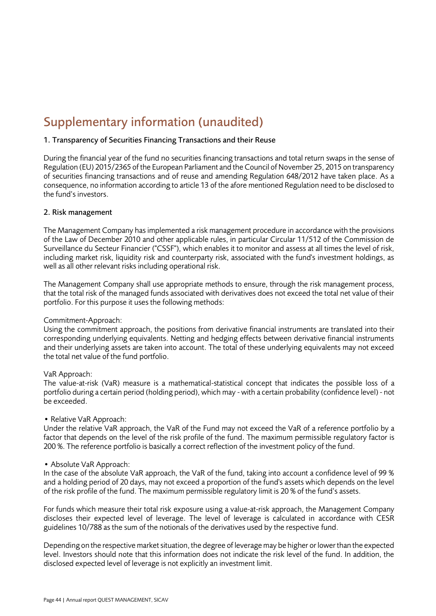## <span id="page-43-0"></span>Supplementary information (unaudited)

### 1. Transparency of Securities Financing Transactions and their Reuse

During the financial year of the fund no securities financing transactions and total return swaps in the sense of Regulation (EU) 2015/2365 of the European Parliament and the Council of November 25, 2015 on transparency of securities financing transactions and of reuse and amending Regulation 648/2012 have taken place. As a consequence, no information according to article 13 of the afore mentioned Regulation need to be disclosed to the fund's investors.

### 2. Risk management

The Management Company has implemented a risk management procedure in accordance with the provisions of the Law of December 2010 and other applicable rules, in particular Circular 11/512 of the Commission de Surveillance du Secteur Financier ("CSSF"), which enables it to monitor and assess at all times the level of risk, including market risk, liquidity risk and counterparty risk, associated with the fund's investment holdings, as well as all other relevant risks including operational risk.

The Management Company shall use appropriate methods to ensure, through the risk management process, that the total risk of the managed funds associated with derivatives does not exceed the total net value of their portfolio. For this purpose it uses the following methods:

### Commitment-Approach:

Using the commitment approach, the positions from derivative financial instruments are translated into their corresponding underlying equivalents. Netting and hedging effects between derivative financial instruments and their underlying assets are taken into account. The total of these underlying equivalents may not exceed the total net value of the fund portfolio.

### VaR Approach:

The value-at-risk (VaR) measure is a mathematical-statistical concept that indicates the possible loss of a portfolio during a certain period (holding period), which may - with a certain probability (confidence level) - not be exceeded.

### • Relative VaR Approach:

Under the relative VaR approach, the VaR of the Fund may not exceed the VaR of a reference portfolio by a factor that depends on the level of the risk profile of the fund. The maximum permissible regulatory factor is 200 %. The reference portfolio is basically a correct reflection of the investment policy of the fund.

### • Absolute VaR Approach:

In the case of the absolute VaR approach, the VaR of the fund, taking into account a confidence level of 99 % and a holding period of 20 days, may not exceed a proportion of the fund's assets which depends on the level of the risk profile of the fund. The maximum permissible regulatory limit is 20 % of the fund's assets.

For funds which measure their total risk exposure using a value-at-risk approach, the Management Company discloses their expected level of leverage. The level of leverage is calculated in accordance with CESR guidelines 10/788 as the sum of the notionals of the derivatives used by the respective fund.

Depending on the respective market situation, the degree of leverage may be higher or lower than the expected level. Investors should note that this information does not indicate the risk level of the fund. In addition, the disclosed expected level of leverage is not explicitly an investment limit.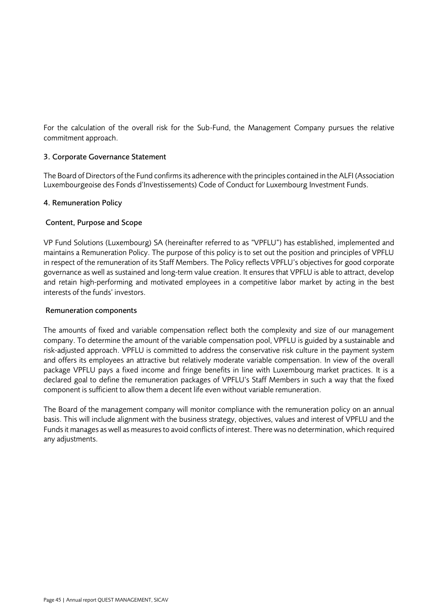For the calculation of the overall risk for the Sub-Fund, the Management Company pursues the relative commitment approach.

### 3. Corporate Governance Statement

The Board of Directors of the Fund confirms its adherence with the principles contained in the ALFI (Association Luxembourgeoise des Fonds d'Investissements) Code of Conduct for Luxembourg Investment Funds.

### 4. Remuneration Policy

### Content, Purpose and Scope

VP Fund Solutions (Luxembourg) SA (hereinafter referred to as "VPFLU") has established, implemented and maintains a Remuneration Policy. The purpose of this policy is to set out the position and principles of VPFLU in respect of the remuneration of its Staff Members. The Policy reflects VPFLU's objectives for good corporate governance as well as sustained and long-term value creation. It ensures that VPFLU is able to attract, develop and retain high-performing and motivated employees in a competitive labor market by acting in the best interests of the funds' investors.

### Remuneration components

The amounts of fixed and variable compensation reflect both the complexity and size of our management company. To determine the amount of the variable compensation pool, VPFLU is guided by a sustainable and risk-adjusted approach. VPFLU is committed to address the conservative risk culture in the payment system and offers its employees an attractive but relatively moderate variable compensation. In view of the overall package VPFLU pays a fixed income and fringe benefits in line with Luxembourg market practices. It is a declared goal to define the remuneration packages of VPFLU's Staff Members in such a way that the fixed component is sufficient to allow them a decent life even without variable remuneration.

The Board of the management company will monitor compliance with the remuneration policy on an annual basis. This will include alignment with the business strategy, objectives, values and interest of VPFLU and the Funds it manages as well as measures to avoid conflicts of interest. There was no determination, which required any adjustments.